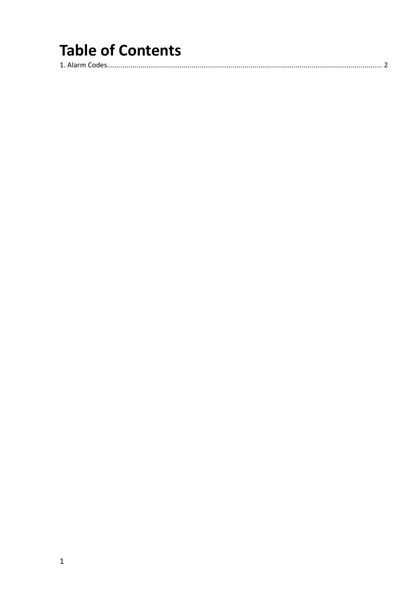# **Table of Contents**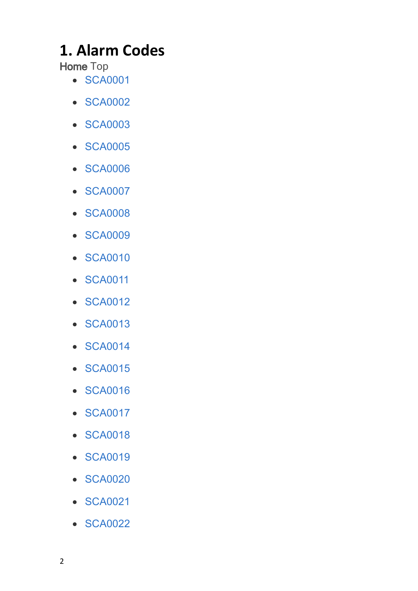# <span id="page-1-0"></span>**1. Alarm Codes**

**Home** Top

- · [SCA0001](#page-8-0)
- · [SCA0002](#page-8-1)
- · [SCA0003](#page-9-0)
- · [SCA0005](#page-13-0)
- · [SCA0006](#page-13-1)
- · [SCA0007](#page-14-0)
- · [SCA0008](#page-16-0)
- · [SCA0009](#page-16-1)
- · [SCA0010](#page-17-0)
- · [SCA0011](#page-17-1)
- · [SCA0012](#page-17-2)
- · [SCA0013](#page-18-0)
- · [SCA0014](#page-18-1)
- · [SCA0015](#page-19-0)
- · [SCA0016](#page-19-1)
- · [SCA0017](#page-19-2)
- · [SCA0018](#page-20-0)
- · [SCA0019](#page-20-1)
- · [SCA0020](#page-20-2)
- · [SCA0021](#page-21-0)
- · [SCA0022](#page-21-1)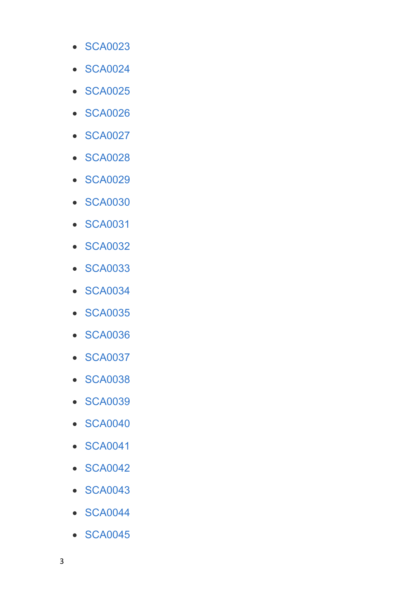- SCA0023
- SCA0024
- SCA0025
- SCA0026
- SCA0027
- SCA0028
- SCA0029
- SCA0030
- SCA0031
- SCA0032
- SCA0033
- SCA0034
- SCA0035
- SCA0036
- SCA0037
- SCA0038
- SCA0039
- SCA0040
- SCA0041
- SCA0042
- SCA0043
- SCA0044
- SCA0045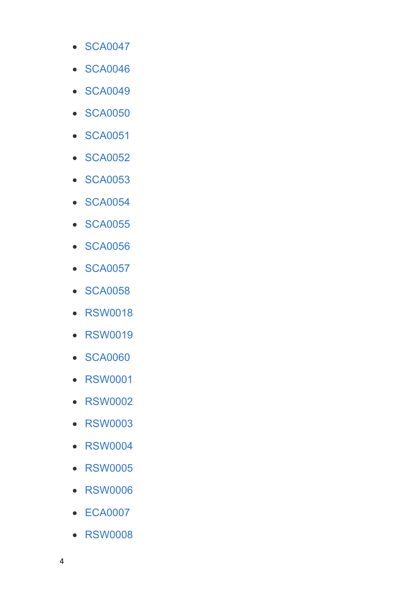- SCA0047
- SCA0046
- SCA0049
- SCA0050
- SCA0051
- SCA0052
- SCA0053
- SCA0054
- SCA0055
- SCA0056
- SCA0057
- SCA0058
- RSW0018
- RSW0019
- SCA0060
- RSW0001
- RSW0002
- RSW0003
- RSW0004
- RSW0005
- RSW0006
- ECA0007
- RSW0008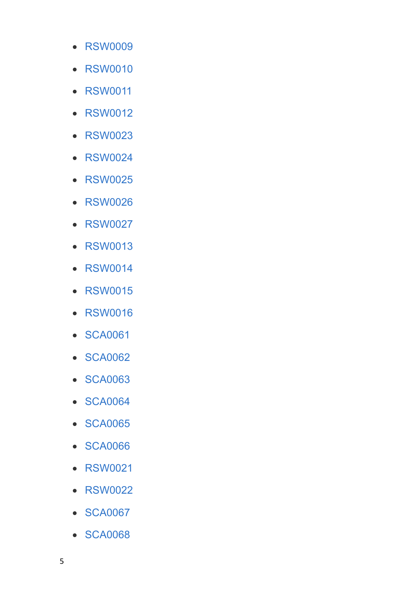- RSW0009
- RSW0010
- RSW0011
- RSW0012
- RSW0023
- RSW0024
- RSW0025
- RSW0026
- RSW0027
- RSW0013
- RSW0014
- RSW0015
- RSW0016
- SCA0061
- SCA0062
- SCA0063
- SCA0064
- SCA0065
- SCA0066
- RSW0021
- RSW0022
- SCA0067
- SCA0068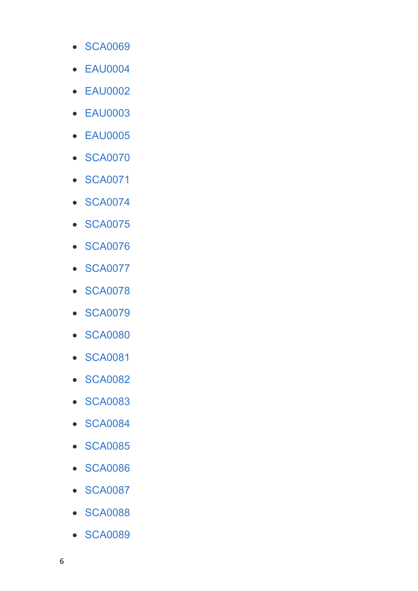- · [SCA0069](#page-52-0)
- · [EAU0004](#page-52-1)
- · [EAU0002](#page-53-0)
- · [EAU0003](#page-53-1)
- · [EAU0005](#page-53-2)
- · [SCA0070](#page-54-0)
- · [SCA0071](#page-54-1)
- · [SCA0074](#page-55-0)
- · [SCA0075](#page-55-1)
- · [SCA0076](#page-56-0)
- · [SCA0077](#page-56-1)
- · [SCA0078](#page-56-2)
- · [SCA0079](#page-57-0)
- · [SCA0080](#page-57-1)
- · [SCA0081](#page-58-0)
- · [SCA0082](#page-58-1)
- · [SCA0083](#page-58-2)
- · [SCA0084](#page-59-0)
- · [SCA0085](#page-59-1)
- · [SCA0086](#page-59-2)
- · [SCA0087](#page-60-0)
- · [SCA0088](#page-60-1)
- · [SCA0089](#page-60-2)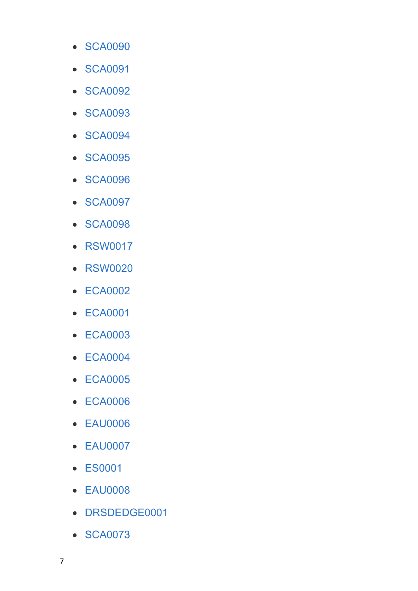- SCA0090
- SCA0091
- SCA0092
- SCA0093
- SCA0094
- SCA0095
- SCA0096
- SCA0097
- SCA0098
- RSW0017
- RSW0020
- ECA0002
- ECA0001
- ECA0003
- ECA0004
- ECA0005
- ECA0006
- EAU0006
- EAU0007
- ES0001
- EAU0008
- DRSDEDGE0001
- SCA0073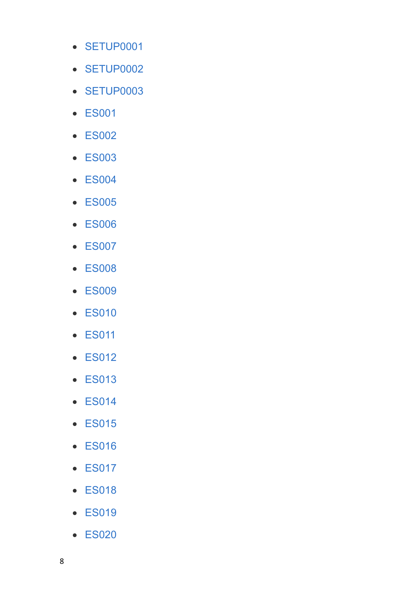- SETUP0001
- SETUP0002
- SETUP0003
- ES001
- ES002
- ES003
- ES004
- ES005
- ES006
- ES007
- ES008
- ES009
- ES010
- ES011
- ES012
- ES013
- ES014
- ES015
- ES016
- ES017
- ES018
- ES019
- ES020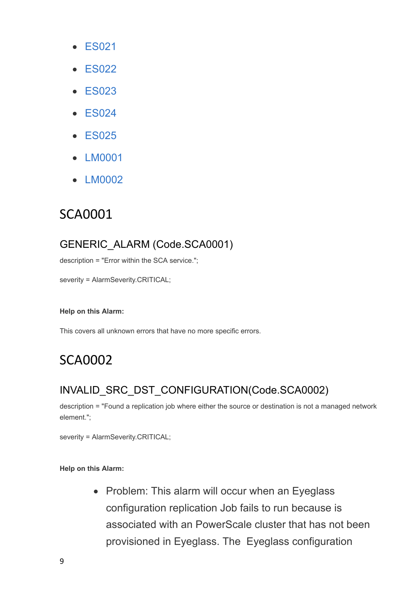- · [ES021](#page-77-0)
- · [ES022](#page-77-1)
- · [ES023](#page-77-2)
- · [ES024](#page-77-3)
- · [ES025](#page-77-4)
- · [LM0001](#page-78-0)
- <span id="page-8-0"></span>· [LM0002](#page-78-1)

### GENERIC\_ALARM (Code.SCA0001)

description = "Error within the SCA service.";

severity = AlarmSeverity.CRITICAL;

#### **Help on this Alarm:**

This covers all unknown errors that have no more specific errors.

## <span id="page-8-1"></span>SCA0002

## INVALID\_SRC\_DST\_CONFIGURATION(Code.SCA0002)

description = "Found a replication job where either the source or destination is not a managed network element.";

severity = AlarmSeverity.CRITICAL;

#### **Help on this Alarm:**

• Problem: This alarm will occur when an Eyeglass configuration replication Job fails to run because is associated with an PowerScale cluster that has not been provisioned in Eyeglass. The Eyeglass configuration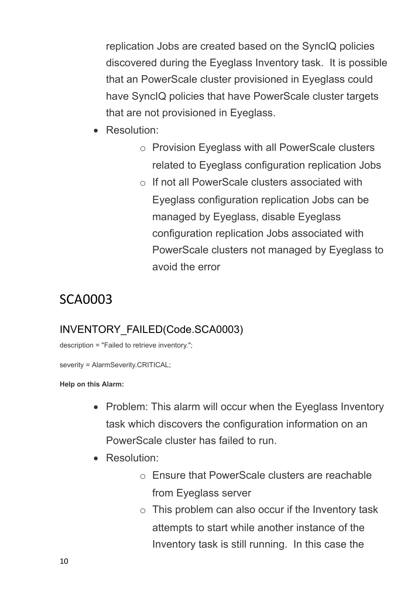replication Jobs are created based on the SyncIQ policies discovered during the Eyeglass Inventory task. It is possible that an PowerScale cluster provisioned in Eyeglass could have SyncIQ policies that have PowerScale cluster targets that are not provisioned in Eyeglass.

- · Resolution:
	- o Provision Eyeglass with all PowerScale clusters related to Eyeglass configuration replication Jobs
	- o If not all PowerScale clusters associated with Eyeglass configuration replication Jobs can be managed by Eyeglass, disable Eyeglass configuration replication Jobs associated with PowerScale clusters not managed by Eyeglass to avoid the error

# <span id="page-9-0"></span>SCA0003

## INVENTORY\_FAILED(Code.SCA0003)

description = "Failed to retrieve inventory.";

severity = AlarmSeverity.CRITICAL;

- Problem: This alarm will occur when the Eyeglass Inventory task which discovers the configuration information on an PowerScale cluster has failed to run.
- · Resolution:
	- o Ensure that PowerScale clusters are reachable from Eyeglass server
	- $\circ$  This problem can also occur if the Inventory task attempts to start while another instance of the Inventory task is still running. In this case the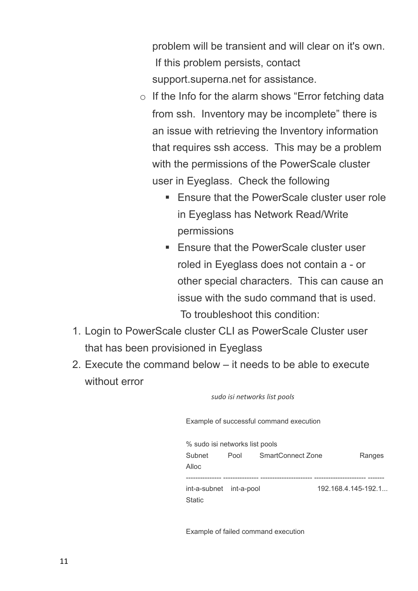problem will be transient and will clear on it's own. If this problem persists, contact support.superna.net for assistance.

- o If the Info for the alarm shows "Error fetching data from ssh. Inventory may be incomplete" there is an issue with retrieving the Inventory information that requires ssh access. This may be a problem with the permissions of the PowerScale cluster user in Eyeglass. Check the following
	- Ensure that the PowerScale cluster user role in Eyeglass has Network Read/Write permissions
	- Ensure that the PowerScale cluster user roled in Eyeglass does not contain a - or other special characters. This can cause an issue with the sudo command that is used. To troubleshoot this condition:
- 1. Login to PowerScale cluster CLI as PowerScale Cluster user that has been provisioned in Eyeglass
- 2. Execute the command below it needs to be able to execute without error

*sudo isi networks list pools*

Example of successful command execution

| % sudo isi networks list pools |      |                          |        |
|--------------------------------|------|--------------------------|--------|
| Subnet                         | Pool | <b>SmartConnect Zone</b> | Ranges |
| Alloc                          |      |                          |        |
|                                |      |                          |        |
| int-a-subnet int-a-pool        |      | 192.168.4.145-192.1      |        |
| <b>Static</b>                  |      |                          |        |
|                                |      |                          |        |

Example of failed command execution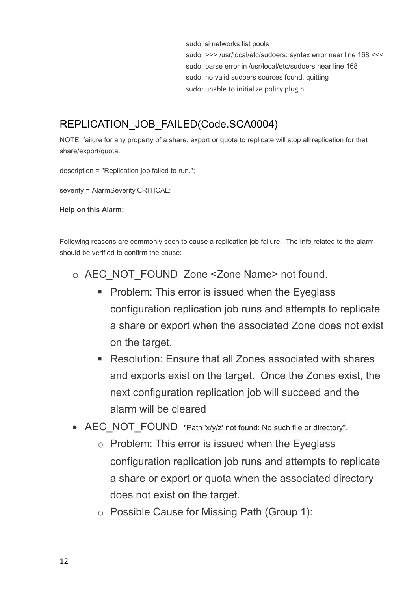sudo isi networks list pools sudo: >>> /usr/local/etc/sudoers: syntax error near line 168 <<< sudo: parse error in /usr/local/etc/sudoers near line 168 sudo: no valid sudoers sources found, quitting sudo: unable to initialize policy plugin

## REPLICATION\_JOB\_FAILED(Code.SCA0004)

NOTE: failure for any property of a share, export or quota to replicate will stop all replication for that share/export/quota.

description = "Replication job failed to run.";

severity = AlarmSeverity.CRITICAL;

**Help on this Alarm:**

Following reasons are commonly seen to cause a replication job failure. The Info related to the alarm should be verified to confirm the cause:

- o AEC\_NOT\_FOUND\_Zone <Zone Name> not found.
	- Problem: This error is issued when the Eyeglass configuration replication job runs and attempts to replicate a share or export when the associated Zone does not exist on the target.
	- Resolution: Ensure that all Zones associated with shares and exports exist on the target. Once the Zones exist, the next configuration replication job will succeed and the alarm will be cleared
- AEC\_NOT\_FOUND\_"Path 'x/y/z' not found: No such file or directory".
	- o Problem: This error is issued when the Eyeglass configuration replication job runs and attempts to replicate a share or export or quota when the associated directory does not exist on the target.
	- o Possible Cause for Missing Path (Group 1):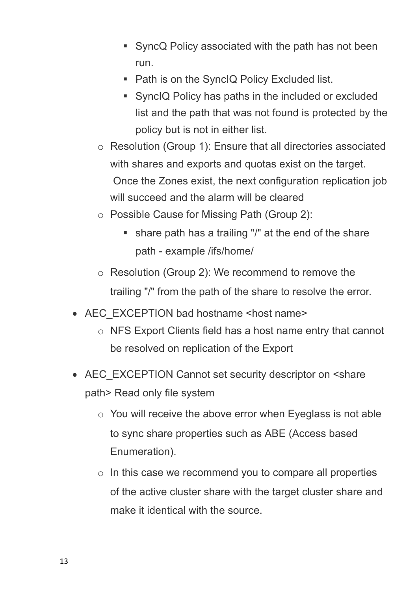- SyncQ Policy associated with the path has not been run.
- Path is on the SyncIQ Policy Excluded list.
- SyncIQ Policy has paths in the included or excluded list and the path that was not found is protected by the policy but is not in either list.
- o Resolution (Group 1): Ensure that all directories associated with shares and exports and quotas exist on the target. Once the Zones exist, the next configuration replication job will succeed and the alarm will be cleared
- o Possible Cause for Missing Path (Group 2):
	- share path has a trailing "/" at the end of the share path - example /ifs/home/
- o Resolution (Group 2): We recommend to remove the trailing "/" from the path of the share to resolve the error.
- AEC\_EXCEPTION bad hostname <host name>
	- o NFS Export Clients field has a host name entry that cannot be resolved on replication of the Export
- AEC\_EXCEPTION Cannot set security descriptor on <share path> Read only file system
	- $\circ$  You will receive the above error when Eyeglass is not able to sync share properties such as ABE (Access based Enumeration).
	- $\circ$  In this case we recommend you to compare all properties of the active cluster share with the target cluster share and make it identical with the source.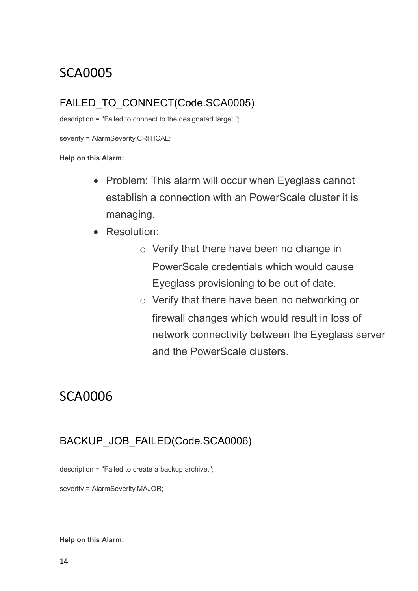## <span id="page-13-0"></span>FAILED TO CONNECT(Code.SCA0005)

description = "Failed to connect to the designated target.";

severity = AlarmSeverity.CRITICAL;

**Help on this Alarm:** 

- Problem: This alarm will occur when Eyeglass cannot establish a connection with an PowerScale cluster it is managing.
- · Resolution:
	- o Verify that there have been no change in PowerScale credentials which would cause Eyeglass provisioning to be out of date.
	- o Verify that there have been no networking or firewall changes which would result in loss of network connectivity between the Eyeglass server and the PowerScale clusters.

## <span id="page-13-1"></span>SCA0006

### BACKUP JOB FAILED(Code.SCA0006)

description = "Failed to create a backup archive.";

severity = AlarmSeverity.MAJOR;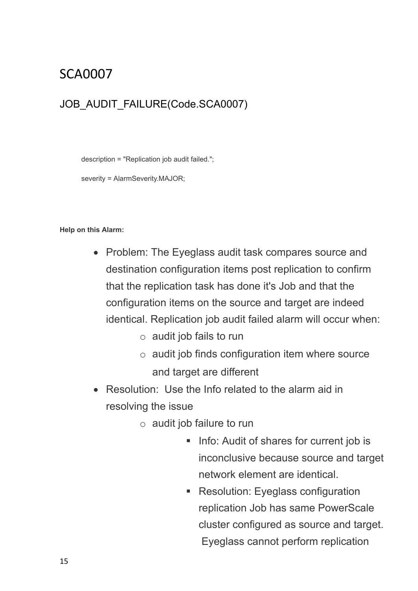### <span id="page-14-0"></span>JOB\_AUDIT\_FAILURE(Code.SCA0007)

description = "Replication job audit failed.";

severity = AlarmSeverity.MAJOR;

- · Problem: The Eyeglass audit task compares source and destination configuration items post replication to confirm that the replication task has done it's Job and that the configuration items on the source and target are indeed identical. Replication job audit failed alarm will occur when:
	- $\circ$  audit job fails to run
	- $\circ$  audit job finds configuration item where source and target are different
- Resolution: Use the Info related to the alarm aid in resolving the issue
	- $\circ$  audit job failure to run
		- Info: Audit of shares for current job is inconclusive because source and target network element are identical.
		- Resolution: Eyeglass configuration replication Job has same PowerScale cluster configured as source and target. Eyeglass cannot perform replication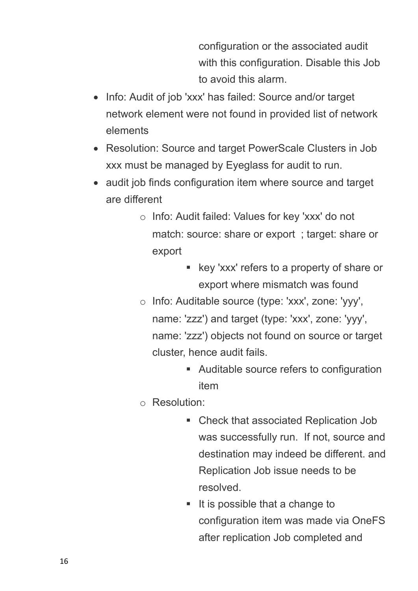configuration or the associated audit with this configuration. Disable this Job to avoid this alarm.

- Info: Audit of job 'xxx' has failed: Source and/or target network element were not found in provided list of network elements
- · Resolution: Source and target PowerScale Clusters in Job xxx must be managed by Eyeglass for audit to run.
- audit job finds configuration item where source and target are different
	- o Info: Audit failed: Values for key 'xxx' do not match: source: share or export ; target: share or export
		- key 'xxx' refers to a property of share or export where mismatch was found
	- o Info: Auditable source (type: 'xxx', zone: 'yyy', name: 'zzz') and target (type: 'xxx', zone: 'yyy', name: 'zzz') objects not found on source or target cluster, hence audit fails.
		- Auditable source refers to configuration item
	- o Resolution:
		- Check that associated Replication Job was successfully run. If not, source and destination may indeed be different. and Replication Job issue needs to be resolved.
		- It is possible that a change to configuration item was made via OneFS after replication Job completed and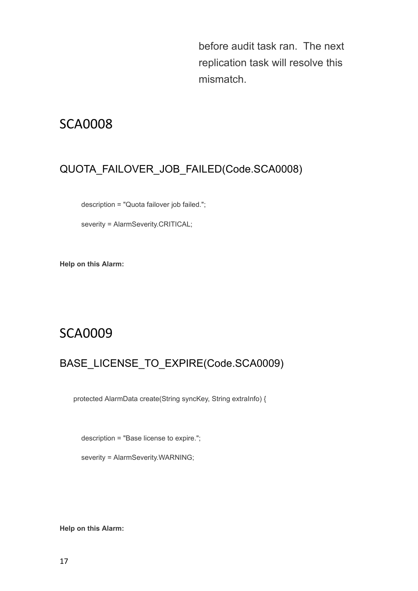before audit task ran. The next replication task will resolve this mismatch.

## <span id="page-16-0"></span>SCA0008

## QUOTA\_FAILOVER\_JOB\_FAILED(Code.SCA0008)

description = "Quota failover job failed.";

severity = AlarmSeverity.CRITICAL;

**Help on this Alarm:**

## <span id="page-16-1"></span>SCA0009

### BASE\_LICENSE\_TO\_EXPIRE(Code.SCA0009)

protected AlarmData create(String syncKey, String extraInfo) {

description = "Base license to expire.";

severity = AlarmSeverity.WARNING;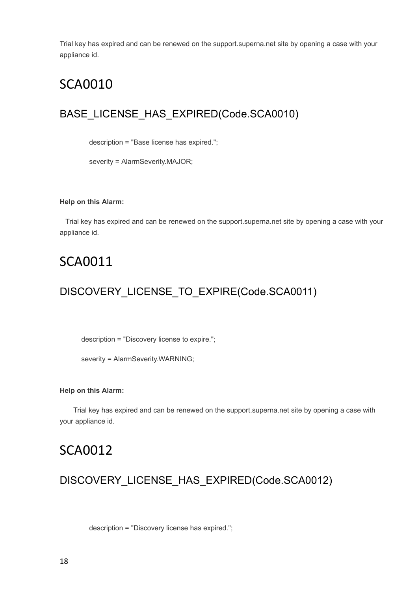Trial key has expired and can be renewed on the support.superna.net site by opening a case with your appliance id.

## <span id="page-17-0"></span>SCA0010

### BASE\_LICENSE\_HAS\_EXPIRED(Code.SCA0010)

description = "Base license has expired.";

severity = AlarmSeverity.MAJOR;

#### **Help on this Alarm:**

 Trial key has expired and can be renewed on the support.superna.net site by opening a case with your appliance id.

## <span id="page-17-1"></span>SCA0011

### DISCOVERY\_LICENSE\_TO\_EXPIRE(Code.SCA0011)

description = "Discovery license to expire.";

severity = AlarmSeverity.WARNING;

#### **Help on this Alarm:**

 Trial key has expired and can be renewed on the support.superna.net site by opening a case with your appliance id.

### <span id="page-17-2"></span>SCA0012

### DISCOVERY\_LICENSE\_HAS\_EXPIRED(Code.SCA0012)

description = "Discovery license has expired.";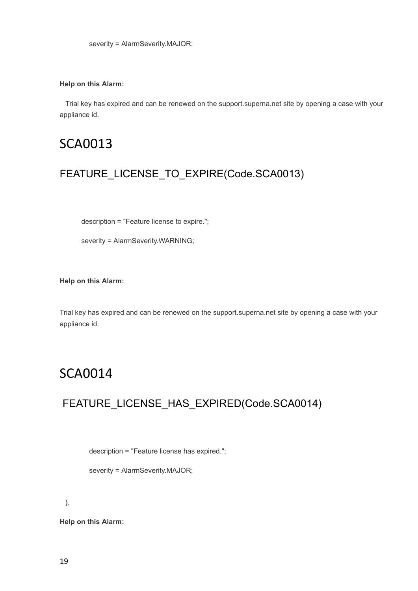#### **Help on this Alarm:**

 Trial key has expired and can be renewed on the support.superna.net site by opening a case with your appliance id.

## <span id="page-18-0"></span>SCA0013

### FEATURE\_LICENSE\_TO\_EXPIRE(Code.SCA0013)

description = "Feature license to expire.";

severity = AlarmSeverity.WARNING;

**Help on this Alarm:**

Trial key has expired and can be renewed on the support.superna.net site by opening a case with your appliance id.

## <span id="page-18-1"></span>SCA0014

### FEATURE\_LICENSE\_HAS\_EXPIRED(Code.SCA0014)

description = "Feature license has expired.";

severity = AlarmSeverity.MAJOR;

},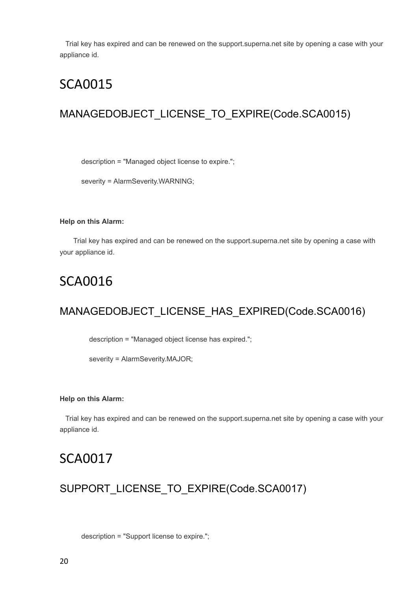Trial key has expired and can be renewed on the support.superna.net site by opening a case with your appliance id.

## <span id="page-19-0"></span>SCA0015

### MANAGEDOBJECT\_LICENSE\_TO\_EXPIRE(Code.SCA0015)

description = "Managed object license to expire.";

severity = AlarmSeverity.WARNING;

#### **Help on this Alarm:**

 Trial key has expired and can be renewed on the support.superna.net site by opening a case with your appliance id.

## <span id="page-19-1"></span>SCA0016

### MANAGEDOBJECT\_LICENSE\_HAS\_EXPIRED(Code.SCA0016)

description = "Managed object license has expired.";

severity = AlarmSeverity.MAJOR;

#### **Help on this Alarm:**

 Trial key has expired and can be renewed on the support.superna.net site by opening a case with your appliance id.

## <span id="page-19-2"></span>SCA0017

### SUPPORT\_LICENSE\_TO\_EXPIRE(Code.SCA0017)

description = "Support license to expire.";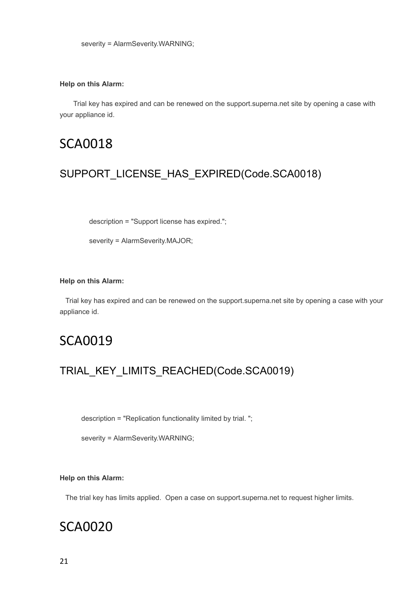#### **Help on this Alarm:**

 Trial key has expired and can be renewed on the support.superna.net site by opening a case with your appliance id.

## <span id="page-20-0"></span>SCA0018

### SUPPORT\_LICENSE\_HAS\_EXPIRED(Code.SCA0018)

description = "Support license has expired.";

severity = AlarmSeverity.MAJOR;

#### **Help on this Alarm:**

 Trial key has expired and can be renewed on the support.superna.net site by opening a case with your appliance id.

## <span id="page-20-1"></span>SCA0019

### TRIAL\_KEY\_LIMITS\_REACHED(Code.SCA0019)

description = "Replication functionality limited by trial. ";

severity = AlarmSeverity.WARNING;

#### **Help on this Alarm:**

The trial key has limits applied. Open a case on support.superna.net to request higher limits.

## <span id="page-20-2"></span>SCA0020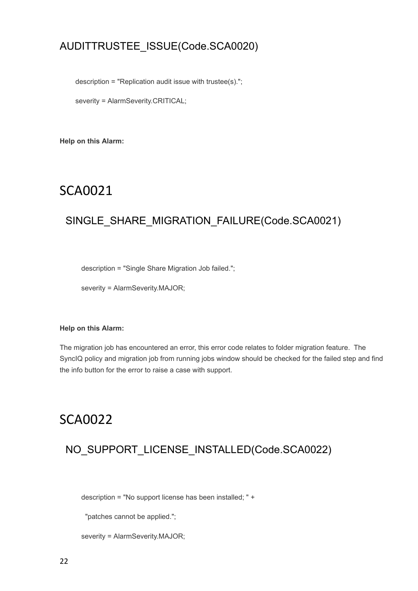### AUDITTRUSTEE\_ISSUE(Code.SCA0020)

description = "Replication audit issue with trustee(s).";

severity = AlarmSeverity.CRITICAL;

**Help on this Alarm:**

## <span id="page-21-0"></span>SCA0021

### SINGLE\_SHARE\_MIGRATION\_FAILURE(Code.SCA0021)

description = "Single Share Migration Job failed.";

severity = AlarmSeverity.MAJOR;

#### **Help on this Alarm:**

The migration job has encountered an error, this error code relates to folder migration feature. The SyncIQ policy and migration job from running jobs window should be checked for the failed step and find the info button for the error to raise a case with support.

## <span id="page-21-1"></span>SCA0022

### NO\_SUPPORT\_LICENSE\_INSTALLED(Code.SCA0022)

description = "No support license has been installed; " +

"patches cannot be applied.";

severity = AlarmSeverity.MAJOR;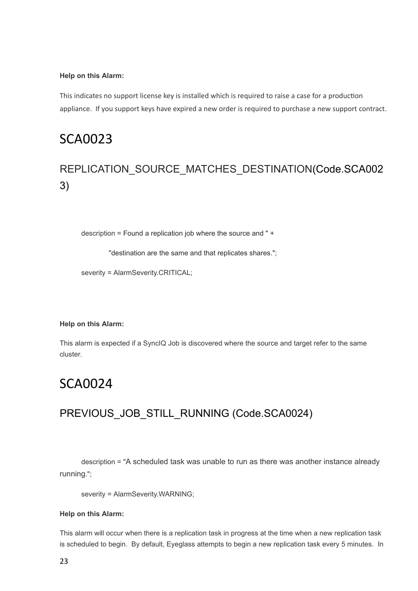#### **Help on this Alarm:**

This indicates no support license key is installed which is required to raise a case for a production appliance. If you support keys have expired a new order is required to purchase a new support contract.

## <span id="page-22-0"></span>SCA0023

## REPLICATION\_SOURCE\_MATCHES\_DESTINATION(Code.SCA002 3)

description = Found a replication job where the source and " +

"destination are the same and that replicates shares.";

severity = AlarmSeverity.CRITICAL;

#### **Help on this Alarm:**

This alarm is expected if a SyncIQ Job is discovered where the source and target refer to the same cluster.

## <span id="page-22-1"></span>SCA0024

### PREVIOUS\_JOB\_STILL\_RUNNING (Code.SCA0024)

 description = "A scheduled task was unable to run as there was another instance already running.";

severity = AlarmSeverity.WARNING;

#### **Help on this Alarm:**

This alarm will occur when there is a replication task in progress at the time when a new replication task is scheduled to begin. By default, Eyeglass attempts to begin a new replication task every 5 minutes. In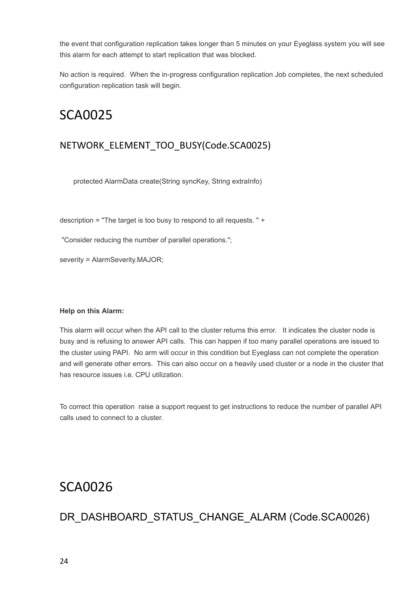the event that configuration replication takes longer than 5 minutes on your Eyeglass system you will see this alarm for each attempt to start replication that was blocked.

No action is required. When the in-progress configuration replication Job completes, the next scheduled configuration replication task will begin.

## <span id="page-23-0"></span>SCA0025

### NETWORK\_ELEMENT\_TOO\_BUSY(Code.SCA0025)

protected AlarmData create(String syncKey, String extraInfo)

description = "The target is too busy to respond to all requests. " +

"Consider reducing the number of parallel operations.";

severity = AlarmSeverity.MAJOR;

#### **Help on this Alarm:**

This alarm will occur when the API call to the cluster returns this error. It indicates the cluster node is busy and is refusing to answer API calls. This can happen if too many parallel operations are issued to the cluster using PAPI. No arm will occur in this condition but Eyeglass can not complete the operation and will generate other errors. This can also occur on a heavily used cluster or a node in the cluster that has resource issues i.e. CPU utilization.

To correct this operation raise a support request to get instructions to reduce the number of parallel API calls used to connect to a cluster.

## <span id="page-23-1"></span>SCA0026

### DR\_DASHBOARD\_STATUS\_CHANGE\_ALARM (Code.SCA0026)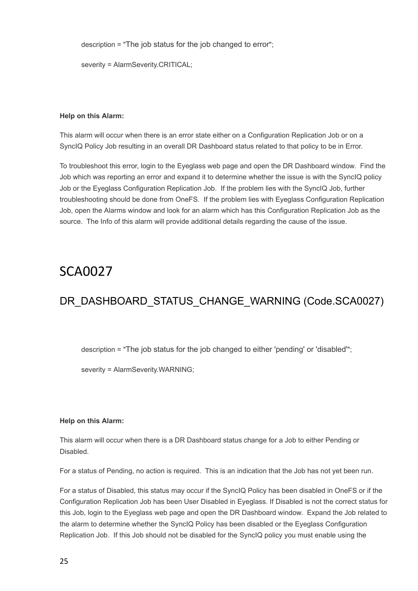description = "The job status for the job changed to error";

severity = AlarmSeverity.CRITICAL;

#### **Help on this Alarm:**

This alarm will occur when there is an error state either on a Configuration Replication Job or on a SyncIQ Policy Job resulting in an overall DR Dashboard status related to that policy to be in Error.

To troubleshoot this error, login to the Eyeglass web page and open the DR Dashboard window. Find the Job which was reporting an error and expand it to determine whether the issue is with the SyncIQ policy Job or the Eyeglass Configuration Replication Job. If the problem lies with the SyncIQ Job, further troubleshooting should be done from OneFS. If the problem lies with Eyeglass Configuration Replication Job, open the Alarms window and look for an alarm which has this Configuration Replication Job as the source. The Info of this alarm will provide additional details regarding the cause of the issue.

## <span id="page-24-0"></span>SCA0027

## DR\_DASHBOARD\_STATUS\_CHANGE\_WARNING (Code.SCA0027)

description = "The job status for the job changed to either 'pending' or 'disabled'";

severity = AlarmSeverity.WARNING;

#### **Help on this Alarm:**

This alarm will occur when there is a DR Dashboard status change for a Job to either Pending or Disabled.

For a status of Pending, no action is required. This is an indication that the Job has not yet been run.

For a status of Disabled, this status may occur if the SyncIQ Policy has been disabled in OneFS or if the Configuration Replication Job has been User Disabled in Eyeglass. If Disabled is not the correct status for this Job, login to the Eyeglass web page and open the DR Dashboard window. Expand the Job related to the alarm to determine whether the SyncIQ Policy has been disabled or the Eyeglass Configuration Replication Job. If this Job should not be disabled for the SyncIQ policy you must enable using the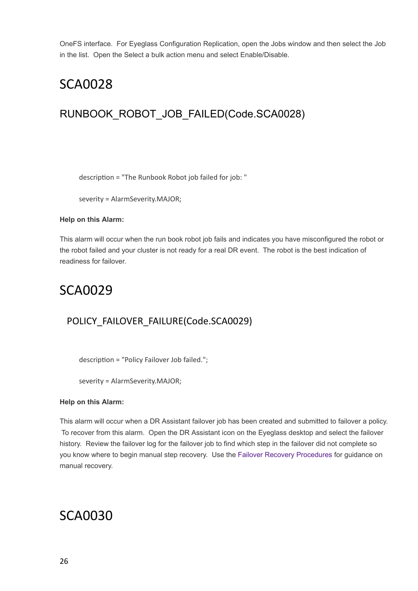OneFS interface. For Eyeglass Configuration Replication, open the Jobs window and then select the Job in the list. Open the Select a bulk action menu and select Enable/Disable.

## <span id="page-25-0"></span>SCA0028

## RUNBOOK\_ROBOT\_JOB\_FAILED(Code.SCA0028)

description = "The Runbook Robot job failed for job: "

severity = AlarmSeverity.MAJOR;

#### **Help on this Alarm:**

This alarm will occur when the run book robot job fails and indicates you have misconfigured the robot or the robot failed and your cluster is not ready for a real DR event. The robot is the best indication of readiness for failover.

## <span id="page-25-1"></span>SCA0029

### POLICY\_FAILOVER\_FAILURE(Code.SCA0029)

description = "Policy Failover Job failed.";

severity = AlarmSeverity.MAJOR;

#### **Help on this Alarm:**

This alarm will occur when a DR Assistant failover job has been created and submitted to failover a policy. To recover from this alarm. Open the DR Assistant icon on the Eyeglass desktop and select the failover history. Review the failover log for the failover job to find which step in the failover did not complete so you know where to begin manual step recovery. Use the [Failover](http://docedit.supernaeyeglass.com/smart/project-eyeglass-operations-guides/failover-recovery-procedures) [Recovery](http://docedit.supernaeyeglass.com/smart/project-eyeglass-operations-guides/failover-recovery-procedures) [Procedures](http://docedit.supernaeyeglass.com/smart/project-eyeglass-operations-guides/failover-recovery-procedures) for guidance on manual recovery.

## <span id="page-25-2"></span>SCA0030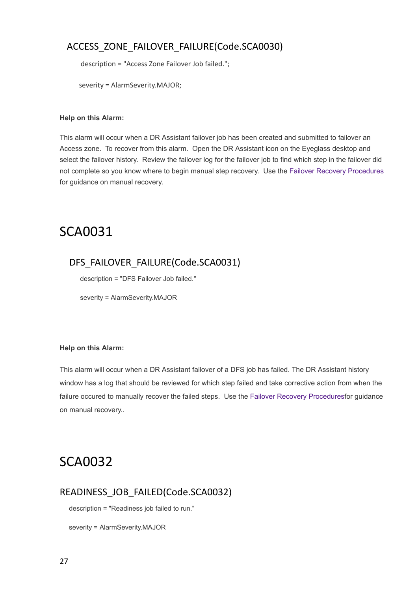### ACCESS\_ZONE\_FAILOVER\_FAILURE(Code.SCA0030)

description = "Access Zone Failover Job failed.";

severity = AlarmSeverity.MAJOR;

#### **Help on this Alarm:**

This alarm will occur when a DR Assistant failover job has been created and submitted to failover an Access zone. To recover from this alarm. Open the DR Assistant icon on the Eyeglass desktop and select the failover history. Review the failover log for the failover job to find which step in the failover did not complete so you know where to begin manual step recovery. Use the [Failover](http://docedit.supernaeyeglass.com/smart/project-eyeglass-operations-guides/failover-recovery-procedures) [Recovery](http://docedit.supernaeyeglass.com/smart/project-eyeglass-operations-guides/failover-recovery-procedures) [Procedures](http://docedit.supernaeyeglass.com/smart/project-eyeglass-operations-guides/failover-recovery-procedures) for guidance on manual recovery.

## <span id="page-26-0"></span>SCA0031

### DFS\_FAILOVER\_FAILURE(Code.SCA0031)

description = "DFS Failover Job failed."

severity = AlarmSeverity.MAJOR

#### **Help on this Alarm:**

This alarm will occur when a DR Assistant failover of a DFS job has failed. The DR Assistant history window has a log that should be reviewed for which step failed and take corrective action from when the failure occured to manually recover the failed steps. Use the [Failover](http://docedit.supernaeyeglass.com/smart/project-eyeglass-operations-guides/failover-recovery-procedures) [Recovery](http://docedit.supernaeyeglass.com/smart/project-eyeglass-operations-guides/failover-recovery-procedures) [Proceduresf](http://docedit.supernaeyeglass.com/smart/project-eyeglass-operations-guides/failover-recovery-procedures)or guidance on manual recovery..

## <span id="page-26-1"></span>SCA0032

### READINESS\_JOB\_FAILED(Code.SCA0032)

description = "Readiness job failed to run."

severity = AlarmSeverity.MAJOR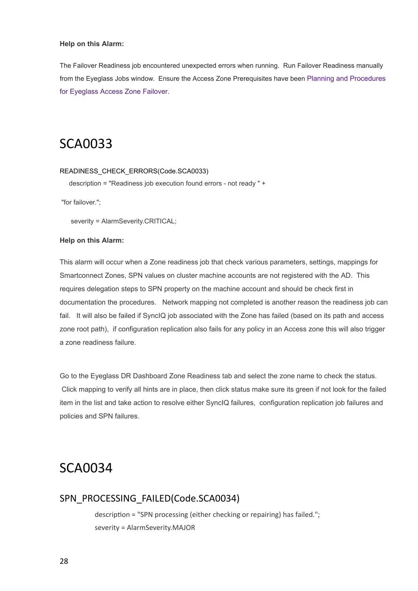#### **Help on this Alarm:**

The Failover Readiness job encountered unexpected errors when running. Run Failover Readiness manually from the Eyeglass Jobs window. Ensure the Access Zone Prerequisites have been [Planning](http://docedit.supernaeyeglass.com/smart/project-design-guides/planning-and-procedures-for-eyeglass-access-zone-failover) [and](http://docedit.supernaeyeglass.com/smart/project-design-guides/planning-and-procedures-for-eyeglass-access-zone-failover) [Procedures](http://docedit.supernaeyeglass.com/smart/project-design-guides/planning-and-procedures-for-eyeglass-access-zone-failover) [for](http://docedit.supernaeyeglass.com/smart/project-design-guides/planning-and-procedures-for-eyeglass-access-zone-failover) [Eyeglass](http://docedit.supernaeyeglass.com/smart/project-design-guides/planning-and-procedures-for-eyeglass-access-zone-failover) [Access](http://docedit.supernaeyeglass.com/smart/project-design-guides/planning-and-procedures-for-eyeglass-access-zone-failover) [Zone](http://docedit.supernaeyeglass.com/smart/project-design-guides/planning-and-procedures-for-eyeglass-access-zone-failover) [Failover](http://docedit.supernaeyeglass.com/smart/project-design-guides/planning-and-procedures-for-eyeglass-access-zone-failover).

## <span id="page-27-0"></span>SCA0033

#### READINESS\_CHECK\_ERRORS(Code.SCA0033)

description = "Readiness job execution found errors - not ready " +

"for failover.";

severity = AlarmSeverity.CRITICAL;

#### **Help on this Alarm:**

This alarm will occur when a Zone readiness job that check various parameters, settings, mappings for Smartconnect Zones, SPN values on cluster machine accounts are not registered with the AD. This requires delegation steps to SPN property on the machine account and should be check first in documentation the procedures. Network mapping not completed is another reason the readiness job can fail. It will also be failed if SyncIQ job associated with the Zone has failed (based on its path and access zone root path), if configuration replication also fails for any policy in an Access zone this will also trigger a zone readiness failure.

Go to the Eyeglass DR Dashboard Zone Readiness tab and select the zone name to check the status. Click mapping to verify all hints are in place, then click status make sure its green if not look for the failed item in the list and take action to resolve either SyncIQ failures, configuration replication job failures and policies and SPN failures.

## <span id="page-27-1"></span>SCA0034

#### SPN\_PROCESSING\_FAILED(Code.SCA0034)

description = "SPN processing (either checking or repairing) has failed."; severity = AlarmSeverity.MAJOR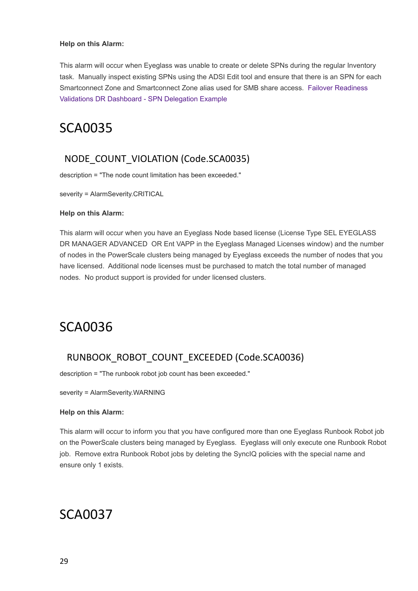#### **Help on this Alarm:**

This alarm will occur when Eyeglass was unable to create or delete SPNs during the regular Inventory task. Manually inspect existing SPNs using the ADSI Edit tool and ensure that there is an SPN for each Smartconnect Zone and Smartconnect Zone alias used for SMB share access. [Failover](http://docedit.supernaeyeglass.com/smart/project-eyeglass-administration-guides/readiness) [Readiness](http://docedit.supernaeyeglass.com/smart/project-eyeglass-administration-guides/readiness) [Validations](http://docedit.supernaeyeglass.com/smart/project-eyeglass-administration-guides/readiness) [DR](http://docedit.supernaeyeglass.com/smart/project-eyeglass-administration-guides/readiness) [Dashboard](http://docedit.supernaeyeglass.com/smart/project-eyeglass-administration-guides/readiness) [-](http://docedit.supernaeyeglass.com/smart/project-eyeglass-administration-guides/readiness) [SPN](http://docedit.supernaeyeglass.com/smart/project-eyeglass-administration-guides/readiness) [Delegation](http://docedit.supernaeyeglass.com/smart/project-eyeglass-administration-guides/readiness) [Example](http://docedit.supernaeyeglass.com/smart/project-eyeglass-administration-guides/readiness)

## <span id="page-28-0"></span>SCA0035

### NODE\_COUNT\_VIOLATION (Code.SCA0035)

description = "The node count limitation has been exceeded."

severity = AlarmSeverity.CRITICAL

#### **Help on this Alarm:**

This alarm will occur when you have an Eyeglass Node based license (License Type SEL EYEGLASS DR MANAGER ADVANCED OR Ent VAPP in the Eyeglass Managed Licenses window) and the number of nodes in the PowerScale clusters being managed by Eyeglass exceeds the number of nodes that you have licensed. Additional node licenses must be purchased to match the total number of managed nodes. No product support is provided for under licensed clusters.

## <span id="page-28-1"></span>SCA0036

### RUNBOOK\_ROBOT\_COUNT\_EXCEEDED (Code.SCA0036)

description = "The runbook robot job count has been exceeded."

severity = AlarmSeverity.WARNING

#### **Help on this Alarm:**

This alarm will occur to inform you that you have configured more than one Eyeglass Runbook Robot job on the PowerScale clusters being managed by Eyeglass. Eyeglass will only execute one Runbook Robot job. Remove extra Runbook Robot jobs by deleting the SyncIQ policies with the special name and ensure only 1 exists.

## <span id="page-28-2"></span>SCA0037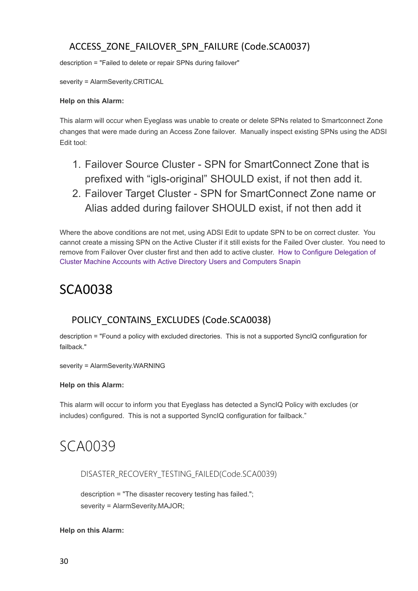### ACCESS\_ZONE\_FAILOVER\_SPN\_FAILURE (Code.SCA0037)

description = "Failed to delete or repair SPNs during failover"

severity = AlarmSeverity.CRITICAL

#### **Help on this Alarm:**

This alarm will occur when Eyeglass was unable to create or delete SPNs related to Smartconnect Zone changes that were made during an Access Zone failover. Manually inspect existing SPNs using the ADSI Edit tool:

- 1. Failover Source Cluster SPN for SmartConnect Zone that is prefixed with "igls-original" SHOULD exist, if not then add it.
- 2. Failover Target Cluster SPN for SmartConnect Zone name or Alias added during failover SHOULD exist, if not then add it

Where the above conditions are not met, using ADSI Edit to update SPN to be on correct cluster. You cannot create a missing SPN on the Active Cluster if it still exists for the Failed Over cluster. You need to remove from Failover Over cluster first and then add to active cluster. [How](http://docedit.supernaeyeglass.com/smart/project-eyeglass-configuration-guides/ad-delegation) [to](http://docedit.supernaeyeglass.com/smart/project-eyeglass-configuration-guides/ad-delegation) [Configure](http://docedit.supernaeyeglass.com/smart/project-eyeglass-configuration-guides/ad-delegation) [Delegation](http://docedit.supernaeyeglass.com/smart/project-eyeglass-configuration-guides/ad-delegation) [of](http://docedit.supernaeyeglass.com/smart/project-eyeglass-configuration-guides/ad-delegation) [Cluster](http://docedit.supernaeyeglass.com/smart/project-eyeglass-configuration-guides/ad-delegation) [Machine](http://docedit.supernaeyeglass.com/smart/project-eyeglass-configuration-guides/ad-delegation) [Accounts](http://docedit.supernaeyeglass.com/smart/project-eyeglass-configuration-guides/ad-delegation) [with](http://docedit.supernaeyeglass.com/smart/project-eyeglass-configuration-guides/ad-delegation) [Active](http://docedit.supernaeyeglass.com/smart/project-eyeglass-configuration-guides/ad-delegation) [Directory](http://docedit.supernaeyeglass.com/smart/project-eyeglass-configuration-guides/ad-delegation) [Users](http://docedit.supernaeyeglass.com/smart/project-eyeglass-configuration-guides/ad-delegation) [and](http://docedit.supernaeyeglass.com/smart/project-eyeglass-configuration-guides/ad-delegation) [Computers](http://docedit.supernaeyeglass.com/smart/project-eyeglass-configuration-guides/ad-delegation) [Snapin](http://docedit.supernaeyeglass.com/smart/project-eyeglass-configuration-guides/ad-delegation)

## <span id="page-29-0"></span>SCA0038

### POLICY\_CONTAINS\_EXCLUDES (Code.SCA0038)

description = "Found a policy with excluded directories. This is not a supported SyncIQ configuration for failback."

severity = AlarmSeverity.WARNING

#### **Help on this Alarm:**

This alarm will occur to inform you that Eyeglass has detected a SyncIQ Policy with excludes (or includes) configured. This is not a supported SyncIQ configuration for failback."

# <span id="page-29-1"></span>SCA0039

DISASTER\_RECOVERY\_TESTING\_FAILED(Code.SCA0039)

description = "The disaster recovery testing has failed."; severity = AlarmSeverity.MAJOR;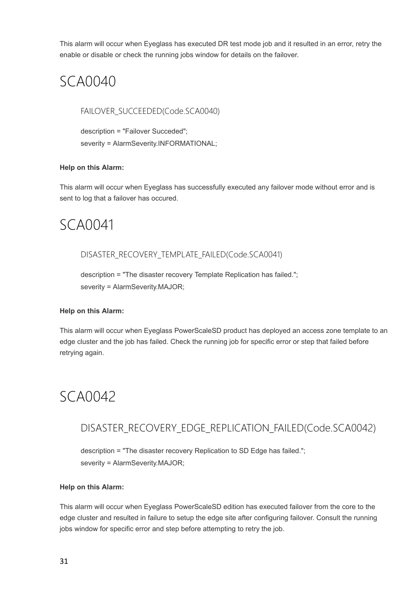This alarm will occur when Eyeglass has executed DR test mode job and it resulted in an error, retry the enable or disable or check the running jobs window for details on the failover.

# <span id="page-30-0"></span>SCA0040

FAILOVER\_SUCCEEDED(Code.SCA0040)

description = "Failover Succeded"; severity = AlarmSeverity.INFORMATIONAL;

#### **Help on this Alarm:**

This alarm will occur when Eyeglass has successfully executed any failover mode without error and is sent to log that a failover has occured.

# <span id="page-30-1"></span>SCA0041

#### DISASTER\_RECOVERY\_TEMPLATE\_FAILED(Code.SCA0041)

description = "The disaster recovery Template Replication has failed."; severity = AlarmSeverity.MAJOR;

#### **Help on this Alarm:**

This alarm will occur when Eyeglass PowerScaleSD product has deployed an access zone template to an edge cluster and the job has failed. Check the running job for specific error or step that failed before retrying again.

# <span id="page-30-2"></span>SCA0042

### DISASTER\_RECOVERY\_EDGE\_REPLICATION\_FAILED(Code.SCA0042)

description = "The disaster recovery Replication to SD Edge has failed."; severity = AlarmSeverity.MAJOR;

#### **Help on this Alarm:**

This alarm will occur when Eyeglass PowerScaleSD edition has executed failover from the core to the edge cluster and resulted in failure to setup the edge site after configuring failover. Consult the running jobs window for specific error and step before attempting to retry the job.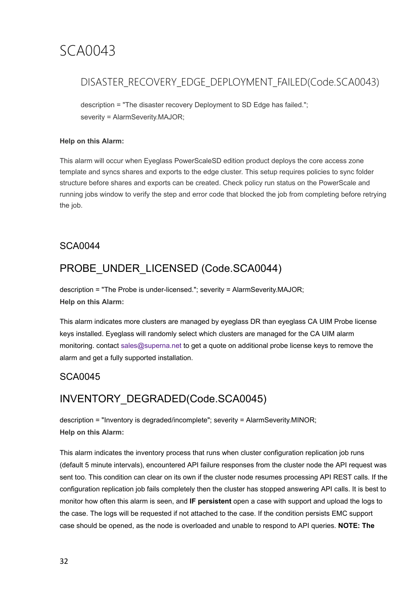### <span id="page-31-0"></span>DISASTER\_RECOVERY\_EDGE\_DEPLOYMENT\_FAILED(Code.SCA0043)

description = "The disaster recovery Deployment to SD Edge has failed."; severity = AlarmSeverity.MAJOR;

#### **Help on this Alarm:**

This alarm will occur when Eyeglass PowerScaleSD edition product deploys the core access zone template and syncs shares and exports to the edge cluster. This setup requires policies to sync folder structure before shares and exports can be created. Check policy run status on the PowerScale and running jobs window to verify the step and error code that blocked the job from completing before retrying the job.

### <span id="page-31-1"></span>SCA0044

## PROBE\_UNDER\_LICENSED (Code.SCA0044)

description = "The Probe is under-licensed."; severity = AlarmSeverity.MAJOR; **Help on this Alarm:**

This alarm indicates more clusters are managed by eyeglass DR than eyeglass CA UIM Probe license keys installed. Eyeglass will randomly select which clusters are managed for the CA UIM alarm monitoring. contact [sales@superna.net](mailto:sales@superna.net) to get a quote on additional probe license keys to remove the alarm and get a fully supported installation.

### <span id="page-31-2"></span>SCA0045

### INVENTORY\_DEGRADED(Code.SCA0045)

description = "Inventory is degraded/incomplete"; severity = AlarmSeverity.MINOR; **Help on this Alarm:**

This alarm indicates the inventory process that runs when cluster configuration replication job runs (default 5 minute intervals), encountered API failure responses from the cluster node the API request was sent too. This condition can clear on its own if the cluster node resumes processing API REST calls. If the configuration replication job fails completely then the cluster has stopped answering API calls. It is best to monitor how often this alarm is seen, and **IF persistent** open a case with support and upload the logs to the case. The logs will be requested if not attached to the case. If the condition persists EMC support case should be opened, as the node is overloaded and unable to respond to API queries. **NOTE: The**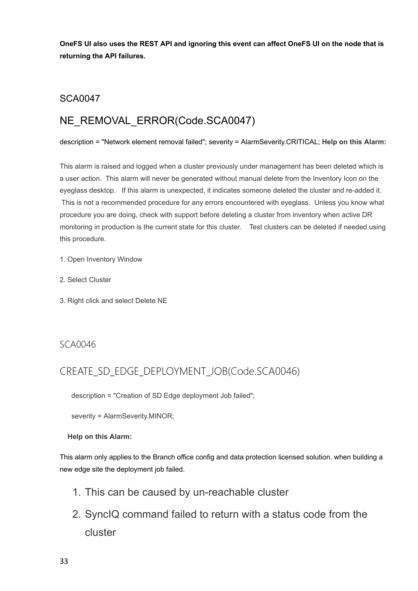OneFS UI also uses the REST API and ignoring this event can affect OneFS UI on the node that is **returning the API failures.**

#### <span id="page-32-0"></span>SCA0047

## NE\_REMOVAL\_ERROR(Code.SCA0047)

#### description = "Network element removal failed"; severity = AlarmSeverity.CRITICAL; **Help on this Alarm:**

This alarm is raised and logged when a cluster previously under management has been deleted which is a user action. This alarm will never be generated without manual delete from the Inventory Icon on the eyeglass desktop. If this alarm is unexpected, it indicates someone deleted the cluster and re-added it. This is not a recommended procedure for any errors encountered with eyeglass. Unless you know what procedure you are doing, check with support before deleting a cluster from inventory when active DR monitoring in production is the current state for this cluster. Test clusters can be deleted if needed using this procedure.

- 1. Open Inventory Window
- 2. Select Cluster
- 3. Right click and select Delete NE

#### <span id="page-32-1"></span>SCA0046

### CREATE\_SD\_EDGE\_DEPLOYMENT\_JOB(Code.SCA0046)

description = "Creation of SD Edge deployment Job failed";

severity = AlarmSeverity.MINOR;

#### **Help on this Alarm:**

This alarm only applies to the Branch office config and data protection licensed solution. when building a new edge site the deployment job failed.

- 1. This can be caused by un-reachable cluster
- 2. SyncIQ command failed to return with a status code from the cluster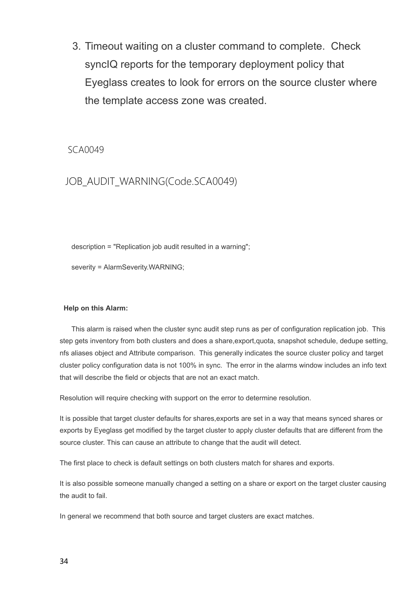3. Timeout waiting on a cluster command to complete. Check syncIQ reports for the temporary deployment policy that Eyeglass creates to look for errors on the source cluster where the template access zone was created.

<span id="page-33-0"></span>SCA0049

### JOB\_AUDIT\_WARNING(Code.SCA0049)

description = "Replication job audit resulted in a warning";

severity = AlarmSeverity.WARNING;

#### **Help on this Alarm:**

This alarm is raised when the cluster sync audit step runs as per of configuration replication job. This step gets inventory from both clusters and does a share,export,quota, snapshot schedule, dedupe setting, nfs aliases object and Attribute comparison. This generally indicates the source cluster policy and target cluster policy configuration data is not 100% in sync. The error in the alarms window includes an info text that will describe the field or objects that are not an exact match.

Resolution will require checking with support on the error to determine resolution.

It is possible that target cluster defaults for shares,exports are set in a way that means synced shares or exports by Eyeglass get modified by the target cluster to apply cluster defaults that are different from the source cluster. This can cause an attribute to change that the audit will detect.

The first place to check is default settings on both clusters match for shares and exports.

It is also possible someone manually changed a setting on a share or export on the target cluster causing the audit to fail.

In general we recommend that both source and target clusters are exact matches.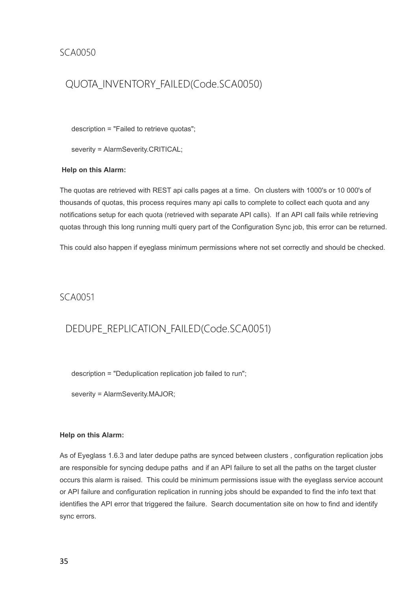### <span id="page-34-0"></span>QUOTA\_INVENTORY\_FAILED(Code.SCA0050)

description = "Failed to retrieve quotas";

severity = AlarmSeverity.CRITICAL;

#### **Help on this Alarm:**

The quotas are retrieved with REST api calls pages at a time. On clusters with 1000's or 10 000's of thousands of quotas, this process requires many api calls to complete to collect each quota and any notifications setup for each quota (retrieved with separate API calls). If an API call fails while retrieving quotas through this long running multi query part of the Configuration Sync job, this error can be returned.

This could also happen if eyeglass minimum permissions where not set correctly and should be checked.

#### <span id="page-34-1"></span>SCA0051

### DEDUPE\_REPLICATION\_FAILED(Code.SCA0051)

description = "Deduplication replication job failed to run";

severity = AlarmSeverity.MAJOR;

#### **Help on this Alarm:**

As of Eyeglass 1.6.3 and later dedupe paths are synced between clusters , configuration replication jobs are responsible for syncing dedupe paths and if an API failure to set all the paths on the target cluster occurs this alarm is raised. This could be minimum permissions issue with the eyeglass service account or API failure and configuration replication in running jobs should be expanded to find the info text that identifies the API error that triggered the failure. Search documentation site on how to find and identify sync errors.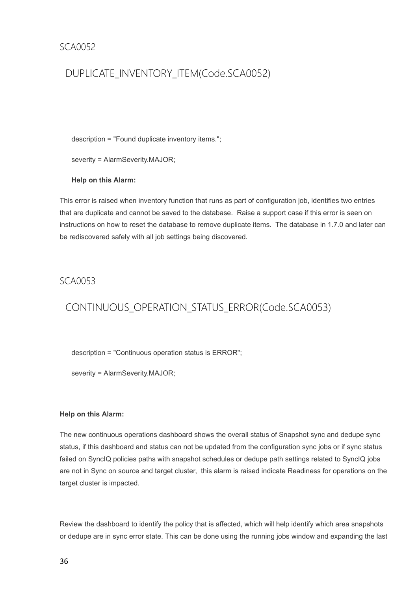### <span id="page-35-0"></span>DUPLICATE\_INVENTORY\_ITEM(Code.SCA0052)

description = "Found duplicate inventory items.";

severity = AlarmSeverity.MAJOR;

**Help on this Alarm:**

This error is raised when inventory function that runs as part of configuration job, identifies two entries that are duplicate and cannot be saved to the database. Raise a support case if this error is seen on instructions on how to reset the database to remove duplicate items. The database in 1.7.0 and later can be rediscovered safely with all job settings being discovered.

#### <span id="page-35-1"></span>SCA0053

### CONTINUOUS\_OPERATION\_STATUS\_ERROR(Code.SCA0053)

description = "Continuous operation status is ERROR";

severity = AlarmSeverity.MAJOR;

#### **Help on this Alarm:**

The new continuous operations dashboard shows the overall status of Snapshot sync and dedupe sync status, if this dashboard and status can not be updated from the configuration sync jobs or if sync status failed on SyncIQ policies paths with snapshot schedules or dedupe path settings related to SyncIQ jobs are not in Sync on source and target cluster, this alarm is raised indicate Readiness for operations on the target cluster is impacted.

Review the dashboard to identify the policy that is affected, which will help identify which area snapshots or dedupe are in sync error state. This can be done using the running jobs window and expanding the last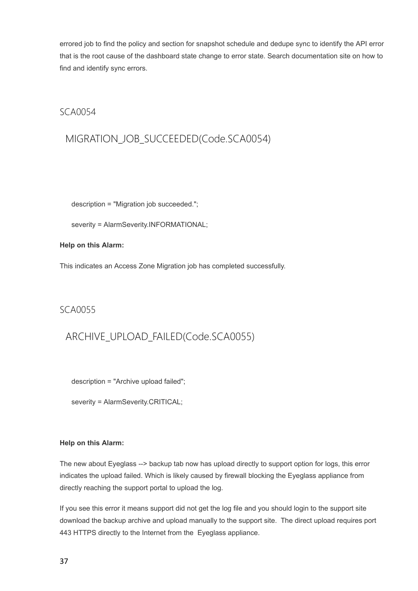errored job to find the policy and section for snapshot schedule and dedupe sync to identify the API error that is the root cause of the dashboard state change to error state. Search documentation site on how to find and identify sync errors.

### SCA0054

## MIGRATION\_JOB\_SUCCEEDED(Code.SCA0054)

description = "Migration job succeeded.";

severity = AlarmSeverity.INFORMATIONAL;

### **Help on this Alarm:**

This indicates an Access Zone Migration job has completed successfully.

### SCA0055

## ARCHIVE\_UPLOAD\_FAILED(Code.SCA0055)

description = "Archive upload failed";

severity = AlarmSeverity.CRITICAL;

### **Help on this Alarm:**

The new about Eyeglass --> backup tab now has upload directly to support option for logs, this error indicates the upload failed. Which is likely caused by firewall blocking the Eyeglass appliance from directly reaching the support portal to upload the log.

If you see this error it means support did not get the log file and you should login to the support site download the backup archive and upload manually to the support site. The direct upload requires port 443 HTTPS directly to the Internet from the Eyeglass appliance.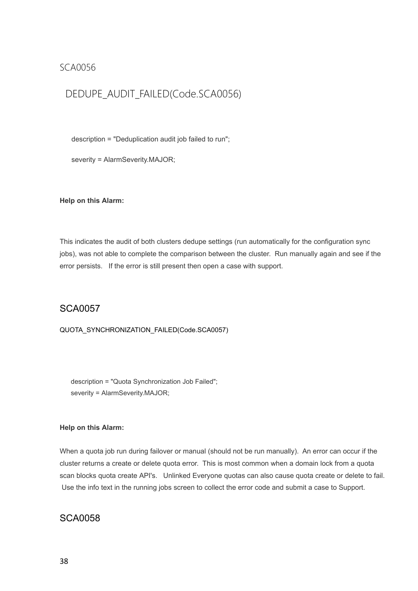### SCA0056

### DEDUPE\_AUDIT\_FAILED(Code.SCA0056)

description = "Deduplication audit job failed to run";

severity = AlarmSeverity.MAJOR;

#### **Help on this Alarm:**

This indicates the audit of both clusters dedupe settings (run automatically for the configuration sync jobs), was not able to complete the comparison between the cluster. Run manually again and see if the error persists. If the error is still present then open a case with support.

### SCA0057

QUOTA\_SYNCHRONIZATION\_FAILED(Code.SCA0057)

description = "Quota Synchronization Job Failed"; severity = AlarmSeverity.MAJOR;

### **Help on this Alarm:**

When a quota job run during failover or manual (should not be run manually). An error can occur if the cluster returns a create or delete quota error. This is most common when a domain lock from a quota scan blocks quota create API's. Unlinked Everyone quotas can also cause quota create or delete to fail. Use the info text in the running jobs screen to collect the error code and submit a case to Support.

### SCA0058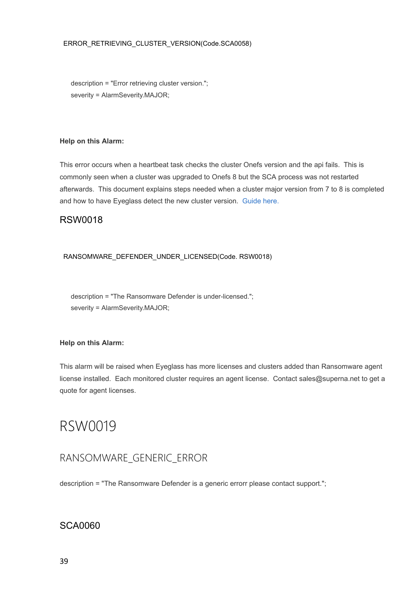### ERROR\_RETRIEVING\_CLUSTER\_VERSION(Code.SCA0058)

description = "Error retrieving cluster version."; severity = AlarmSeverity.MAJOR;

### **Help on this Alarm:**

This error occurs when a heartbeat task checks the cluster Onefs version and the api fails. This is commonly seen when a cluster was upgraded to Onefs 8 but the SCA process was not restarted afterwards. This document explains steps needed when a cluster major version from 7 to 8 is completed and how to have Eyeglass detect the new cluster version. [Guide](http://docedit.supernaeyeglass.com/smart/project-all-product-installation-and-upgrade-guides/eyeglass-isilon-edition-upgrade-guide) [here.](http://docedit.supernaeyeglass.com/smart/project-all-product-installation-and-upgrade-guides/eyeglass-isilon-edition-upgrade-guide)

### RSW0018

### RANSOMWARE\_DEFENDER\_UNDER\_LICENSED(Code. RSW0018)

description = "The Ransomware Defender is under-licensed."; severity = AlarmSeverity.MAJOR;

### **Help on this Alarm:**

This alarm will be raised when Eyeglass has more licenses and clusters added than Ransomware agent license installed. Each monitored cluster requires an agent license. Contact sales@superna.net to get a quote for agent licenses.

# RSW0019

## RANSOMWARE\_GENERIC\_ERROR

description = "The Ransomware Defender is a generic errorr please contact support.";

### SCA0060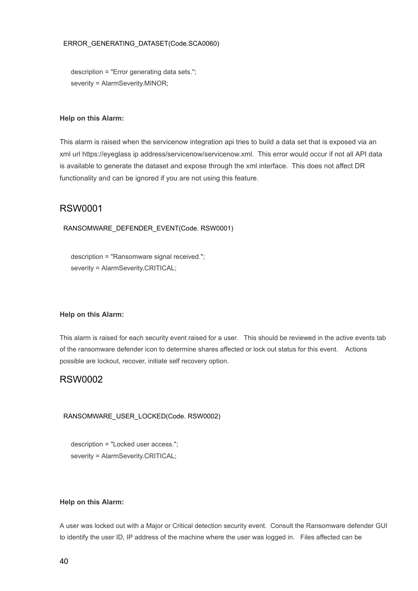### ERROR\_GENERATING\_DATASET(Code.SCA0060)

description = "Error generating data sets."; severity = AlarmSeverity.MINOR;

#### **Help on this Alarm:**

This alarm is raised when the servicenow integration api tries to build a data set that is exposed via an xml url https://eyeglass ip address/servicenow/servicenow.xml. This error would occur if not all API data is available to generate the dataset and expose through the xml interface. This does not affect DR functionality and can be ignored if you are not using this feature.

### RSW0001

### RANSOMWARE\_DEFENDER\_EVENT(Code. RSW0001)

description = "Ransomware signal received."; severity = AlarmSeverity.CRITICAL;

#### **Help on this Alarm:**

This alarm is raised for each security event raised for a user. This should be reviewed in the active events tab of the ransomware defender icon to determine shares affected or lock out status for this event. Actions possible are lockout, recover, initiate self recovery option.

### RSW0002

RANSOMWARE\_USER\_LOCKED(Code. RSW0002)

description = "Locked user access."; severity = AlarmSeverity.CRITICAL;

### **Help on this Alarm:**

A user was locked out with a Major or Critical detection security event. Consult the Ransomware defender GUI to identify the user ID, IP address of the machine where the user was logged in. Files affected can be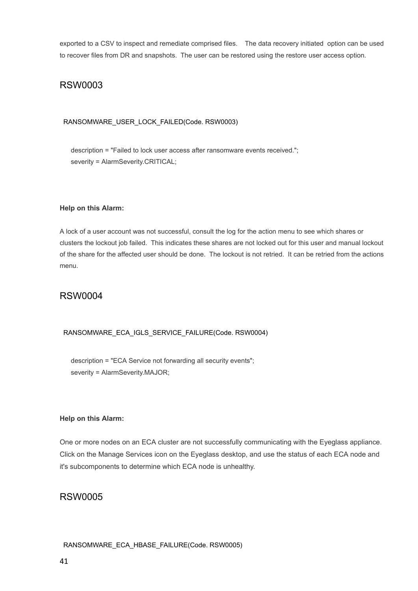exported to a CSV to inspect and remediate comprised files. The data recovery initiated option can be used to recover files from DR and snapshots. The user can be restored using the restore user access option.

### RSW0003

### RANSOMWARE\_USER\_LOCK\_FAILED(Code. RSW0003)

description = "Failed to lock user access after ransomware events received."; severity = AlarmSeverity.CRITICAL;

### **Help on this Alarm:**

A lock of a user account was not successful, consult the log for the action menu to see which shares or clusters the lockout job failed. This indicates these shares are not locked out for this user and manual lockout of the share for the affected user should be done. The lockout is not retried. It can be retried from the actions menu.

### RSW0004

### RANSOMWARE\_ECA\_IGLS\_SERVICE\_FAILURE(Code. RSW0004)

description = "ECA Service not forwarding all security events"; severity = AlarmSeverity.MAJOR;

### **Help on this Alarm:**

One or more nodes on an ECA cluster are not successfully communicating with the Eyeglass appliance. Click on the Manage Services icon on the Eyeglass desktop, and use the status of each ECA node and it's subcomponents to determine which ECA node is unhealthy.

### RSW0005

### RANSOMWARE\_ECA\_HBASE\_FAILURE(Code. RSW0005)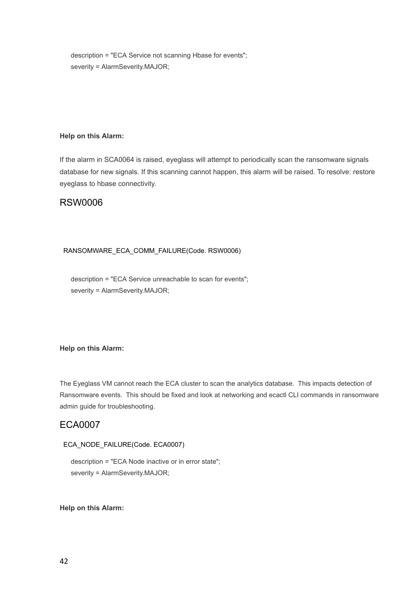description = "ECA Service not scanning Hbase for events"; severity = AlarmSeverity.MAJOR;

### **Help on this Alarm:**

If the alarm in SCA0064 is raised, eyeglass will attempt to periodically scan the ransomware signals database for new signals. If this scanning cannot happen, this alarm will be raised. To resolve: restore eyeglass to hbase connectivity.

### RSW0006

### RANSOMWARE\_ECA\_COMM\_FAILURE(Code. RSW0006)

description = "ECA Service unreachable to scan for events"; severity = AlarmSeverity.MAJOR;

### **Help on this Alarm:**

The Eyeglass VM cannot reach the ECA cluster to scan the analytics database. This impacts detection of Ransomware events. This should be fixed and look at networking and ecactl CLI commands in ransomware admin guide for troubleshooting.

### ECA0007

### ECA\_NODE\_FAILURE(Code. ECA0007)

description = "ECA Node inactive or in error state"; severity = AlarmSeverity.MAJOR;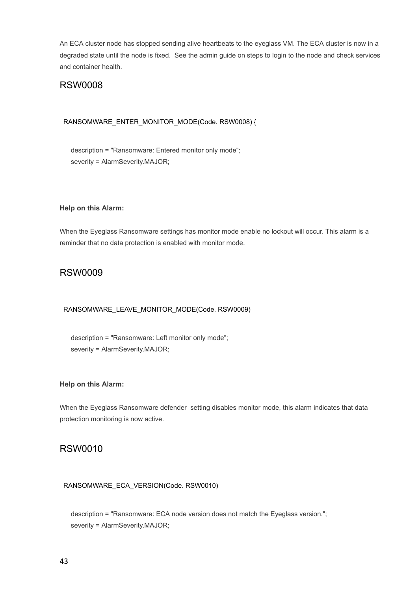An ECA cluster node has stopped sending alive heartbeats to the eyeglass VM. The ECA cluster is now in a degraded state until the node is fixed. See the admin guide on steps to login to the node and check services and container health.

### RSW0008

### RANSOMWARE\_ENTER\_MONITOR\_MODE(Code. RSW0008) {

description = "Ransomware: Entered monitor only mode"; severity = AlarmSeverity.MAJOR;

### **Help on this Alarm:**

When the Eyeglass Ransomware settings has monitor mode enable no lockout will occur. This alarm is a reminder that no data protection is enabled with monitor mode.

### RSW0009

### RANSOMWARE\_LEAVE\_MONITOR\_MODE(Code. RSW0009)

description = "Ransomware: Left monitor only mode"; severity = AlarmSeverity.MAJOR;

### **Help on this Alarm:**

When the Eyeglass Ransomware defender setting disables monitor mode, this alarm indicates that data protection monitoring is now active.

### RSW0010

### RANSOMWARE\_ECA\_VERSION(Code. RSW0010)

description = "Ransomware: ECA node version does not match the Eyeglass version."; severity = AlarmSeverity.MAJOR;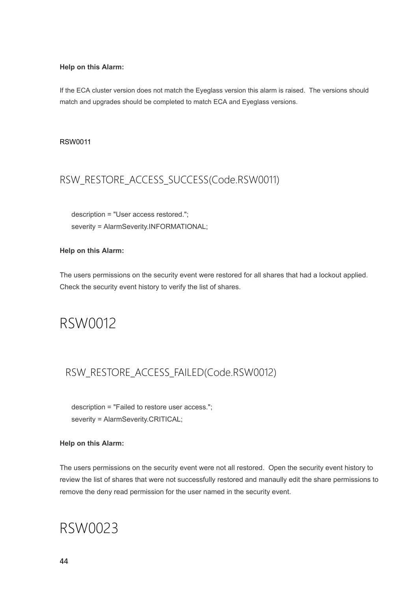### **Help on this Alarm:**

If the ECA cluster version does not match the Eyeglass version this alarm is raised. The versions should match and upgrades should be completed to match ECA and Eyeglass versions.

### RSW0011

## RSW\_RESTORE\_ACCESS\_SUCCESS(Code.RSW0011)

description = "User access restored."; severity = AlarmSeverity.INFORMATIONAL;

### **Help on this Alarm:**

The users permissions on the security event were restored for all shares that had a lockout applied. Check the security event history to verify the list of shares.

## RSW0012

## RSW\_RESTORE\_ACCESS\_FAILED(Code.RSW0012)

description = "Failed to restore user access."; severity = AlarmSeverity.CRITICAL;

### **Help on this Alarm:**

The users permissions on the security event were not all restored. Open the security event history to review the list of shares that were not successfully restored and manaully edit the share permissions to remove the deny read permission for the user named in the security event.

# RSW0023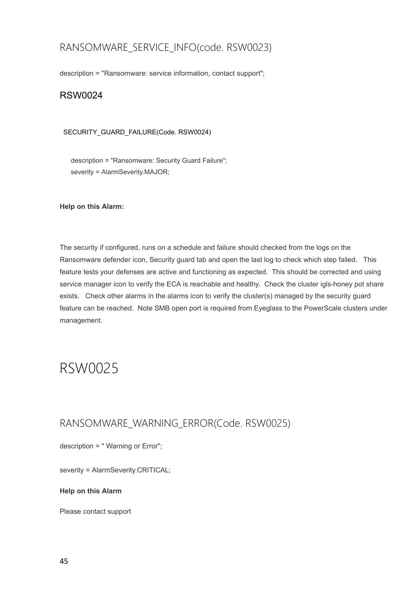## RANSOMWARE\_SERVICE\_INFO(code. RSW0023)

description = "Ransomware: service information, contact support";

### RSW0024

### SECURITY\_GUARD\_FAILURE(Code. RSW0024)

description = "Ransomware: Security Guard Failure"; severity = AlarmSeverity.MAJOR;

### **Help on this Alarm:**

The security if configured, runs on a schedule and failure should checked from the logs on the Ransomware defender icon, Security guard tab and open the last log to check which step failed. This feature tests your defenses are active and functioning as expected. This should be corrected and using service manager icon to verify the ECA is reachable and healthy. Check the cluster igls-honey pot share exists. Check other alarms in the alarms icon to verify the cluster(s) managed by the security guard feature can be reached. Note SMB open port is required from Eyeglass to the PowerScale clusters under management.

## RSW0025

### RANSOMWARE\_WARNING\_ERROR(Code. RSW0025)

description = " Warning or Error";

severity = AlarmSeverity.CRITICAL;

### **Help on this Alarm**

Please contact support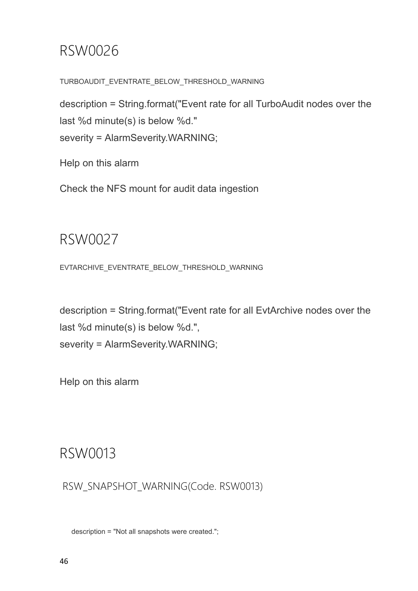# RSW0026

TURBOAUDIT\_EVENTRATE\_BELOW\_THRESHOLD\_WARNING

description = String.format("Event rate for all TurboAudit nodes over the last %d minute(s) is below %d." severity = AlarmSeverity.WARNING;

Help on this alarm

Check the NFS mount for audit data ingestion

# RSW0027

EVTARCHIVE\_EVENTRATE\_BELOW\_THRESHOLD\_WARNING

description = String.format("Event rate for all EvtArchive nodes over the last %d minute(s) is below %d.", severity = AlarmSeverity.WARNING;

Help on this alarm

# RSW0013

RSW\_SNAPSHOT\_WARNING(Code. RSW0013)

description = "Not all snapshots were created.";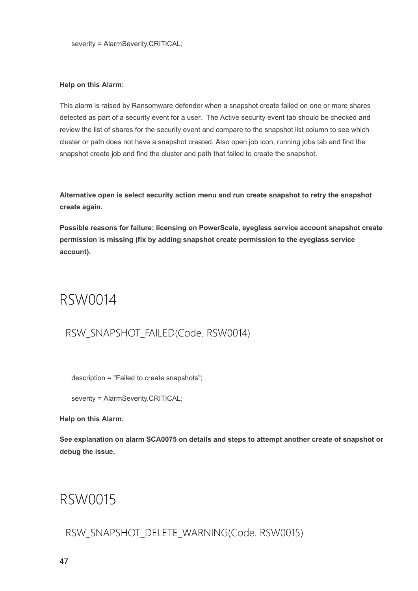### **Help on this Alarm:**

This alarm is raised by Ransomware defender when a snapshot create failed on one or more shares detected as part of a security event for a user. The Active security event tab should be checked and review the list of shares for the security event and compare to the snapshot list column to see which cluster or path does not have a snapshot created. Also open job icon, running jobs tab and find the snapshot create job and find the cluster and path that failed to create the snapshot.

**Alternative open is select security action menu and run create snapshot to retry the snapshot create again.**

**Possible reasons for failure: licensing on PowerScale, eyeglass service account snapshot create permission is missing (fix by adding snapshot create permission to the eyeglass service account).**

## RSW0014

## RSW\_SNAPSHOT\_FAILED(Code. RSW0014)

description = "Failed to create snapshots";

severity = AlarmSeverity.CRITICAL;

### **Help on this Alarm:**

**See explanation on alarm SCA0075 on details and steps to attempt another create of snapshot or debug the issue.**

# RSW0015

RSW\_SNAPSHOT\_DELETE\_WARNING(Code. RSW0015)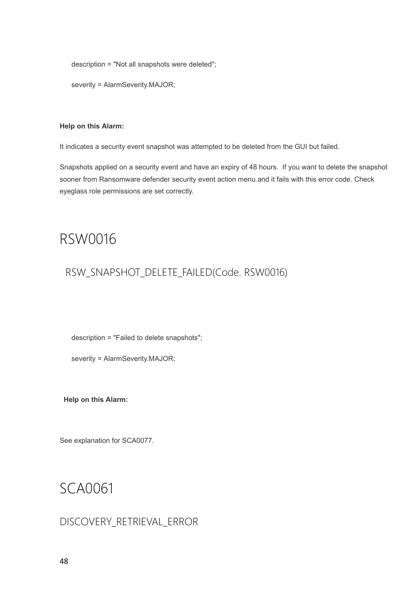description = "Not all snapshots were deleted";

severity = AlarmSeverity.MAJOR;

#### **Help on this Alarm:**

It indicates a security event snapshot was attempted to be deleted from the GUI but failed.

Snapshots applied on a security event and have an expiry of 48 hours. If you want to delete the snapshot sooner from Ransomware defender security event action menu and it fails with this error code. Check eyeglass role permissions are set correctly.

## RSW0016

### RSW\_SNAPSHOT\_DELETE\_FAILED(Code. RSW0016)

description = "Failed to delete snapshots";

severity = AlarmSeverity.MAJOR;

**Help on this Alarm:**

See explanation for SCA0077.

# SCA0061

### DISCOVERY\_RETRIEVAL\_ERROR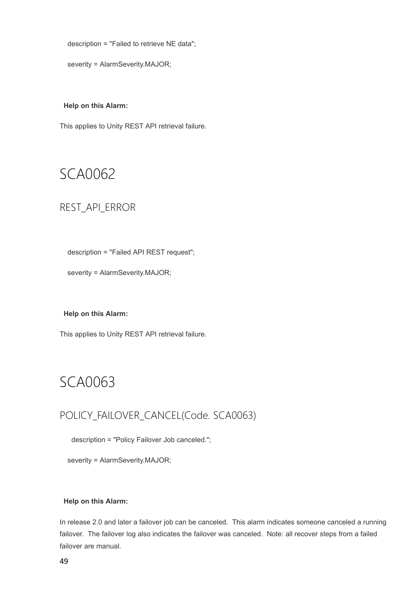description = "Failed to retrieve NE data";

severity = AlarmSeverity.MAJOR;

### **Help on this Alarm:**

This applies to Unity REST API retrieval failure.

# SCA0062

### REST\_API\_ERROR

description = "Failed API REST request";

severity = AlarmSeverity.MAJOR;

### **Help on this Alarm:**

This applies to Unity REST API retrieval failure.

# SCA0063

## POLICY\_FAILOVER\_CANCEL(Code. SCA0063)

description = "Policy Failover Job canceled.";

severity = AlarmSeverity.MAJOR;

### **Help on this Alarm:**

In release 2.0 and later a failover job can be canceled. This alarm indicates someone canceled a running failover. The failover log also indicates the failover was canceled. Note: all recover steps from a failed failover are manual.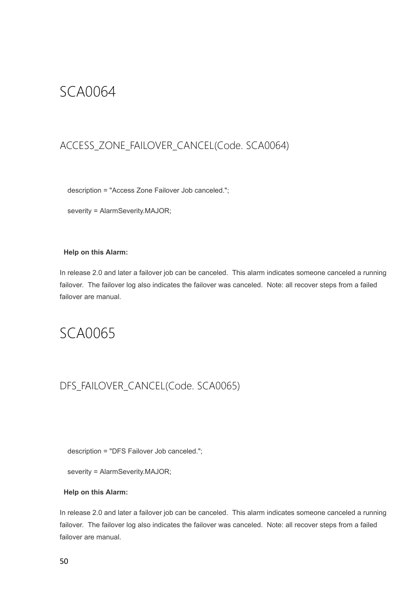## SCA0064

## ACCESS\_ZONE\_FAILOVER\_CANCEL(Code. SCA0064)

description = "Access Zone Failover Job canceled.";

severity = AlarmSeverity.MAJOR;

### **Help on this Alarm:**

In release 2.0 and later a failover job can be canceled. This alarm indicates someone canceled a running failover. The failover log also indicates the failover was canceled. Note: all recover steps from a failed failover are manual.

# SCA0065

## DFS\_FAILOVER\_CANCEL(Code. SCA0065)

description = "DFS Failover Job canceled.";

severity = AlarmSeverity.MAJOR;

### **Help on this Alarm:**

In release 2.0 and later a failover job can be canceled. This alarm indicates someone canceled a running failover. The failover log also indicates the failover was canceled. Note: all recover steps from a failed failover are manual.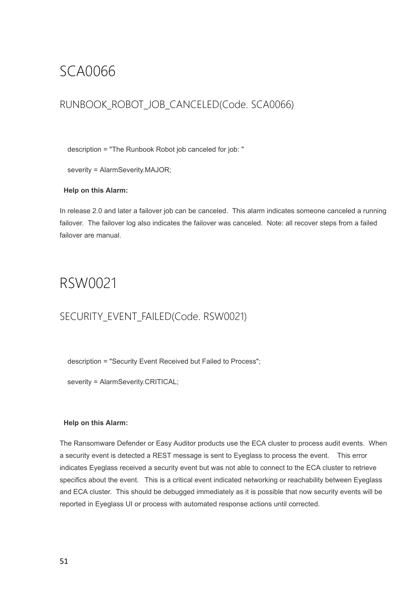# SCA0066

## RUNBOOK ROBOT JOB CANCELED(Code. SCA0066)

description = "The Runbook Robot job canceled for job: "

severity = AlarmSeverity.MAJOR;

### **Help on this Alarm:**

In release 2.0 and later a failover job can be canceled. This alarm indicates someone canceled a running failover. The failover log also indicates the failover was canceled. Note: all recover steps from a failed failover are manual.

# RSW0021

## SECURITY\_EVENT\_FAILED(Code. RSW0021)

description = "Security Event Received but Failed to Process";

severity = AlarmSeverity.CRITICAL;

### **Help on this Alarm:**

The Ransomware Defender or Easy Auditor products use the ECA cluster to process audit events. When a security event is detected a REST message is sent to Eyeglass to process the event. This error indicates Eyeglass received a security event but was not able to connect to the ECA cluster to retrieve specifics about the event. This is a critical event indicated networking or reachability between Eyeglass and ECA cluster. This should be debugged immediately as it is possible that now security events will be reported in Eyeglass UI or process with automated response actions until corrected.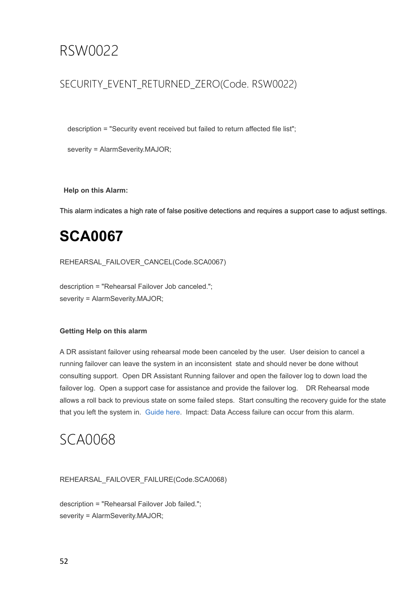# RSW0022

## SECURITY\_EVENT\_RETURNED\_ZERO(Code. RSW0022)

description = "Security event received but failed to return affected file list";

severity = AlarmSeverity.MAJOR;

**Help on this Alarm:**

This alarm indicates a high rate of false positive detections and requires a support case to adjust settings.

# **SCA0067**

REHEARSAL\_FAILOVER\_CANCEL(Code.SCA0067)

description = "Rehearsal Failover Job canceled."; severity = AlarmSeverity.MAJOR;

### **Getting Help on this alarm**

A DR assistant failover using rehearsal mode been canceled by the user. User deision to cancel a running failover can leave the system in an inconsistent state and should never be done without consulting support. Open DR Assistant Running failover and open the failover log to down load the failover log. Open a support case for assistance and provide the failover log. DR Rehearsal mode allows a roll back to previous state on some failed steps. Start consulting the recovery guide for the state that you left the system in. [Guide](http://docedit.supernaeyeglass.com/smart/project-eyeglass-operations-guides/failover-recovery-procedures) [here](http://docedit.supernaeyeglass.com/smart/project-eyeglass-operations-guides/failover-recovery-procedures). Impact: Data Access failure can occur from this alarm.

# SCA0068

REHEARSAL\_FAILOVER\_FAILURE(Code.SCA0068)

description = "Rehearsal Failover Job failed."; severity = AlarmSeverity.MAJOR;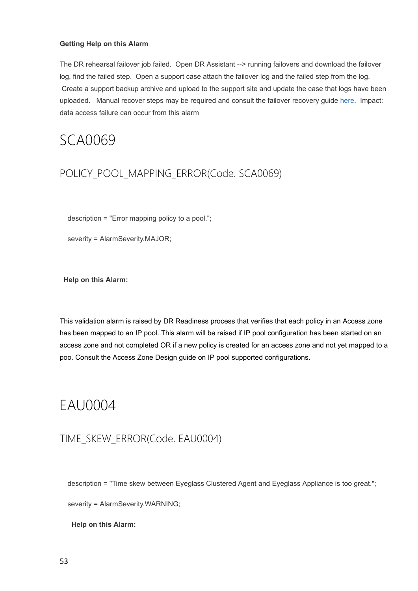### **Getting Help on this Alarm**

The DR rehearsal failover job failed. Open DR Assistant --> running failovers and download the failover log, find the failed step. Open a support case attach the failover log and the failed step from the log. Create a support backup archive and upload to the support site and update the case that logs have been uploaded. Manual recover steps may be required and consult the failover recovery guide [here.](http://docedit.supernaeyeglass.com/smart/project-eyeglass-operations-guides/failover-recovery-procedures) Impact: data access failure can occur from this alarm

# SCA0069

## POLICY\_POOL\_MAPPING\_ERROR(Code. SCA0069)

description = "Error mapping policy to a pool.";

severity = AlarmSeverity.MAJOR;

**Help on this Alarm:**

This validation alarm is raised by DR Readiness process that verifies that each policy in an Access zone has been mapped to an IP pool. This alarm will be raised if IP pool configuration has been started on an access zone and not completed OR if a new policy is created for an access zone and not yet mapped to a poo. Consult the Access Zone Design guide on IP pool supported configurations.

# EAU0004

### TIME\_SKEW\_ERROR(Code. EAU0004)

description = "Time skew between Eyeglass Clustered Agent and Eyeglass Appliance is too great.";

severity = AlarmSeverity.WARNING;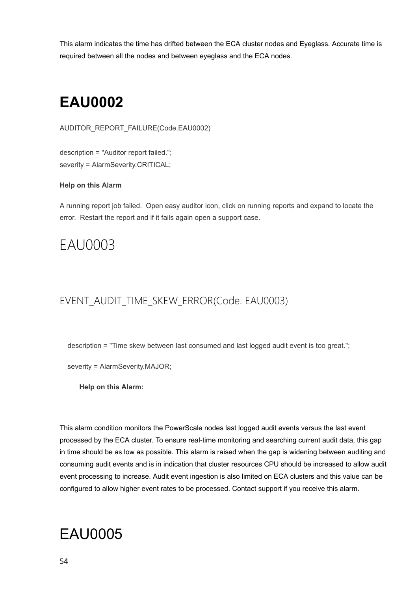This alarm indicates the time has drifted between the ECA cluster nodes and Eyeglass. Accurate time is required between all the nodes and between eyeglass and the ECA nodes.

# **EAU0002**

AUDITOR\_REPORT\_FAILURE(Code.EAU0002)

description = "Auditor report failed."; severity = AlarmSeverity.CRITICAL;

### **Help on this Alarm**

A running report job failed. Open easy auditor icon, click on running reports and expand to locate the error. Restart the report and if it fails again open a support case.

# EAU0003

## EVENT\_AUDIT\_TIME\_SKEW\_ERROR(Code. EAU0003)

description = "Time skew between last consumed and last logged audit event is too great.";

severity = AlarmSeverity.MAJOR;

**Help on this Alarm:**

This alarm condition monitors the PowerScale nodes last logged audit events versus the last event processed by the ECA cluster. To ensure real-time monitoring and searching current audit data, this gap in time should be as low as possible. This alarm is raised when the gap is widening between auditing and consuming audit events and is in indication that cluster resources CPU should be increased to allow audit event processing to increase. Audit event ingestion is also limited on ECA clusters and this value can be configured to allow higher event rates to be processed. Contact support if you receive this alarm.

# EAU0005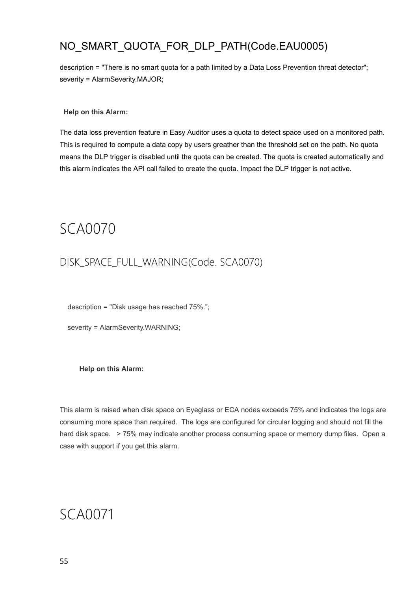## NO\_SMART\_QUOTA\_FOR\_DLP\_PATH(Code.EAU0005)

description = "There is no smart quota for a path limited by a Data Loss Prevention threat detector"; severity = AlarmSeverity.MAJOR;

**Help on this Alarm:**

The data loss prevention feature in Easy Auditor uses a quota to detect space used on a monitored path. This is required to compute a data copy by users greather than the threshold set on the path. No quota means the DLP trigger is disabled until the quota can be created. The quota is created automatically and this alarm indicates the API call failed to create the quota. Impact the DLP trigger is not active.

SCA0070

## DISK\_SPACE\_FULL\_WARNING(Code. SCA0070)

description = "Disk usage has reached 75%.";

severity = AlarmSeverity.WARNING;

**Help on this Alarm:**

This alarm is raised when disk space on Eyeglass or ECA nodes exceeds 75% and indicates the logs are consuming more space than required. The logs are configured for circular logging and should not fill the hard disk space. > 75% may indicate another process consuming space or memory dump files. Open a case with support if you get this alarm.

## SCA0071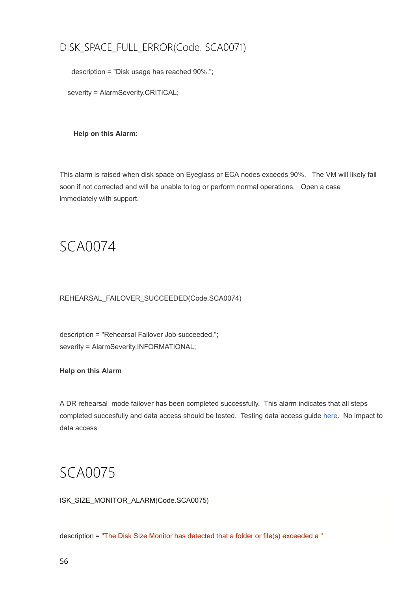## DISK\_SPACE\_FULL\_ERROR(Code. SCA0071)

description = "Disk usage has reached 90%.";

severity = AlarmSeverity.CRITICAL;

**Help on this Alarm:**

This alarm is raised when disk space on Eyeglass or ECA nodes exceeds 90%. The VM will likely fail soon if not corrected and will be unable to log or perform normal operations. Open a case immediately with support.

SCA0074

REHEARSAL\_FAILOVER\_SUCCEEDED(Code.SCA0074)

description = "Rehearsal Failover Job succeeded."; severity = AlarmSeverity.INFORMATIONAL;

**Help on this Alarm**

A DR rehearsal mode failover has been completed successfully. This alarm indicates that all steps completed succesfully and data access should be tested. Testing data access guide [here.](http://docedit.supernaeyeglass.com/smart/project-design-guides/how-to-validate-and-troubleshoot-a-successful-failover-when-data) No impact to data access

## SCA0075

ISK\_SIZE\_MONITOR\_ALARM(Code.SCA0075)

description = "The Disk Size Monitor has detected that a folder or file(s) exceeded a "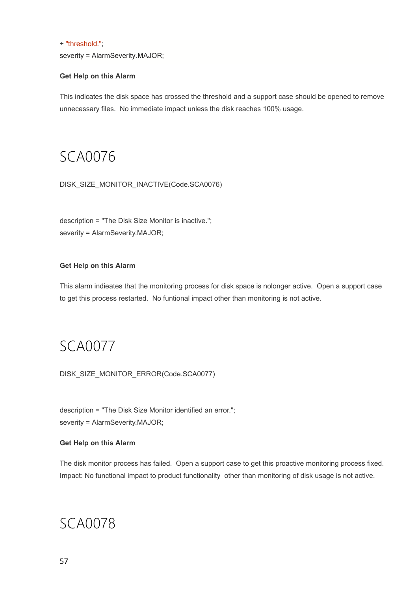### + "threshold.";

severity = AlarmSeverity.MAJOR;

### **Get Help on this Alarm**

This indicates the disk space has crossed the threshold and a support case should be opened to remove unnecessary files. No immediate impact unless the disk reaches 100% usage.

## SCA0076

DISK\_SIZE\_MONITOR\_INACTIVE(Code.SCA0076)

description = "The Disk Size Monitor is inactive."; severity = AlarmSeverity.MAJOR;

### **Get Help on this Alarm**

This alarm indieates that the monitoring process for disk space is nolonger active. Open a support case to get this process restarted. No funtional impact other than monitoring is not active.

## SCA0077

DISK\_SIZE\_MONITOR\_ERROR(Code.SCA0077)

description = "The Disk Size Monitor identified an error."; severity = AlarmSeverity.MAJOR;

### **Get Help on this Alarm**

The disk monitor process has failed. Open a support case to get this proactive monitoring process fixed. Impact: No functional impact to product functionality other than monitoring of disk usage is not active.

## SCA0078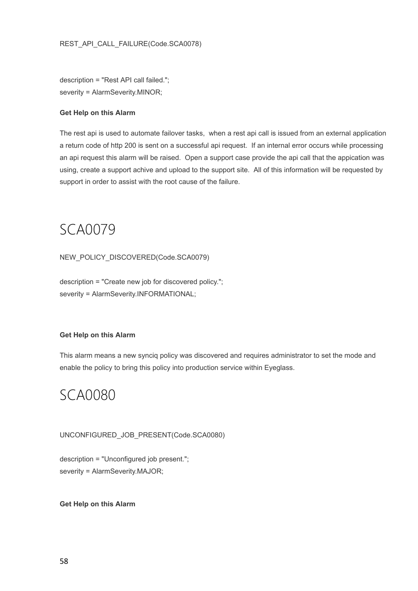description = "Rest API call failed."; severity = AlarmSeverity.MINOR;

### **Get Help on this Alarm**

The rest api is used to automate failover tasks, when a rest api call is issued from an external application a return code of http 200 is sent on a successful api request. If an internal error occurs while processing an api request this alarm will be raised. Open a support case provide the api call that the appication was using, create a support achive and upload to the support site. All of this information will be requested by support in order to assist with the root cause of the failure.

SCA0079

NEW\_POLICY\_DISCOVERED(Code.SCA0079)

description = "Create new job for discovered policy."; severity = AlarmSeverity.INFORMATIONAL;

### **Get Help on this Alarm**

This alarm means a new synciq policy was discovered and requires administrator to set the mode and enable the policy to bring this policy into production service within Eyeglass.

## SCA0080

UNCONFIGURED\_JOB\_PRESENT(Code.SCA0080)

description = "Unconfigured job present."; severity = AlarmSeverity.MAJOR;

**Get Help on this Alarm**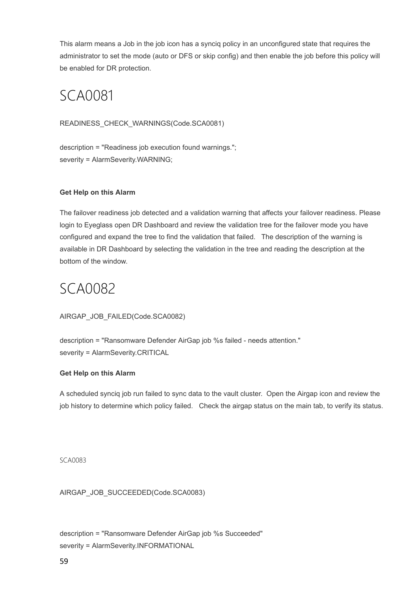This alarm means a Job in the job icon has a synciq policy in an unconfigured state that requires the administrator to set the mode (auto or DFS or skip config) and then enable the job before this policy will be enabled for DR protection.

# SCA0081

### READINESS\_CHECK\_WARNINGS(Code.SCA0081)

description = "Readiness job execution found warnings."; severity = AlarmSeverity.WARNING;

### **Get Help on this Alarm**

The failover readiness job detected and a validation warning that affects your failover readiness. Please login to Eyeglass open DR Dashboard and review the validation tree for the failover mode you have configured and expand the tree to find the validation that failed. The description of the warning is available in DR Dashboard by selecting the validation in the tree and reading the description at the bottom of the window.

## SCA0082

### AIRGAP\_JOB\_FAILED(Code.SCA0082)

description = "Ransomware Defender AirGap job %s failed - needs attention." severity = AlarmSeverity.CRITICAL

### **Get Help on this Alarm**

A scheduled synciq job run failed to sync data to the vault cluster. Open the Airgap icon and review the job history to determine which policy failed. Check the airgap status on the main tab, to verify its status.

SCA0083

AIRGAP\_JOB\_SUCCEEDED(Code.SCA0083)

description = "Ransomware Defender AirGap job %s Succeeded" severity = AlarmSeverity.INFORMATIONAL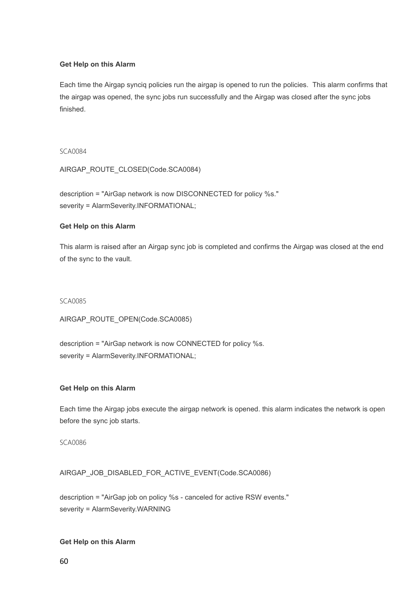### **Get Help on this Alarm**

Each time the Airgap synciq policies run the airgap is opened to run the policies. This alarm confirms that the airgap was opened, the sync jobs run successfully and the Airgap was closed after the sync jobs finished.

SCA0084

AIRGAP\_ROUTE\_CLOSED(Code.SCA0084)

description = "AirGap network is now DISCONNECTED for policy %s." severity = AlarmSeverity.INFORMATIONAL;

### **Get Help on this Alarm**

This alarm is raised after an Airgap sync job is completed and confirms the Airgap was closed at the end of the sync to the vault.

SCA0085

AIRGAP\_ROUTE\_OPEN(Code.SCA0085)

description = "AirGap network is now CONNECTED for policy %s. severity = AlarmSeverity.INFORMATIONAL;

### **Get Help on this Alarm**

Each time the Airgap jobs execute the airgap network is opened. this alarm indicates the network is open before the sync job starts.

SCA0086

AIRGAP\_JOB\_DISABLED\_FOR\_ACTIVE\_EVENT(Code.SCA0086)

description = "AirGap job on policy %s - canceled for active RSW events." severity = AlarmSeverity.WARNING

### **Get Help on this Alarm**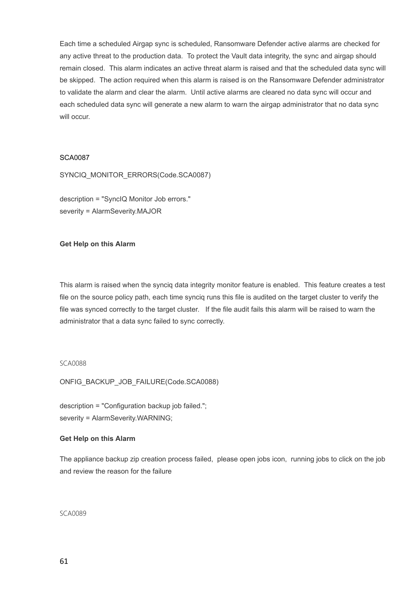Each time a scheduled Airgap sync is scheduled, Ransomware Defender active alarms are checked for any active threat to the production data. To protect the Vault data integrity, the sync and airgap should remain closed. This alarm indicates an active threat alarm is raised and that the scheduled data sync will be skipped. The action required when this alarm is raised is on the Ransomware Defender administrator to validate the alarm and clear the alarm. Until active alarms are cleared no data sync will occur and each scheduled data sync will generate a new alarm to warn the airgap administrator that no data sync will occur.

### SCA0087

SYNCIQ\_MONITOR\_ERRORS(Code.SCA0087)

description = "SyncIQ Monitor Job errors." severity = AlarmSeverity.MAJOR

### **Get Help on this Alarm**

This alarm is raised when the synciq data integrity monitor feature is enabled. This feature creates a test file on the source policy path, each time synciq runs this file is audited on the target cluster to verify the file was synced correctly to the target cluster. If the file audit fails this alarm will be raised to warn the administrator that a data sync failed to sync correctly.

#### SCA0088

ONFIG\_BACKUP\_JOB\_FAILURE(Code.SCA0088)

description = "Configuration backup job failed."; severity = AlarmSeverity.WARNING;

#### **Get Help on this Alarm**

The appliance backup zip creation process failed, please open jobs icon, running jobs to click on the job and review the reason for the failure

SCA0089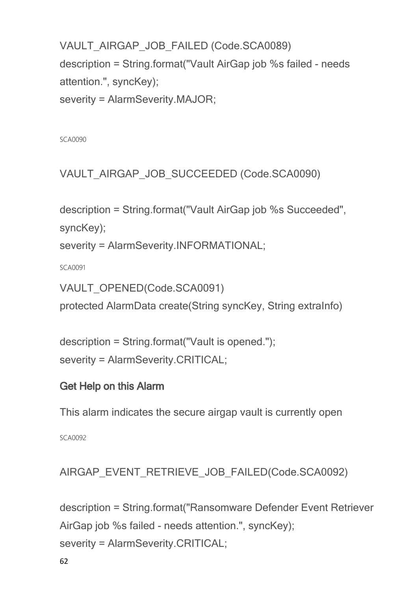VAULT\_AIRGAP\_JOB\_FAILED (Code.SCA0089) description = String.format("Vault AirGap job %s failed - needs attention.", syncKey);

severity = AlarmSeverity.MAJOR;

SCA0090

VAULT\_AIRGAP\_JOB\_SUCCEEDED (Code.SCA0090)

```
description = String.format("Vault AirGap job %s Succeeded",
syncKey);
```
severity = AlarmSeverity.INFORMATIONAL;

SCA0091

```
VAULT_OPENED(Code.SCA0091)
```
protected AlarmData create(String syncKey, String extraInfo)

```
description = String.format("Vault is opened.");
severity = AlarmSeverity.CRITICAL;
```
## **Get Help on this Alarm**

This alarm indicates the secure airgap vault is currently open

SCA0092

AIRGAP\_EVENT\_RETRIEVE\_JOB\_FAILED(Code.SCA0092)

description = String.format("Ransomware Defender Event Retriever AirGap job %s failed - needs attention.", syncKey); severity = AlarmSeverity.CRITICAL;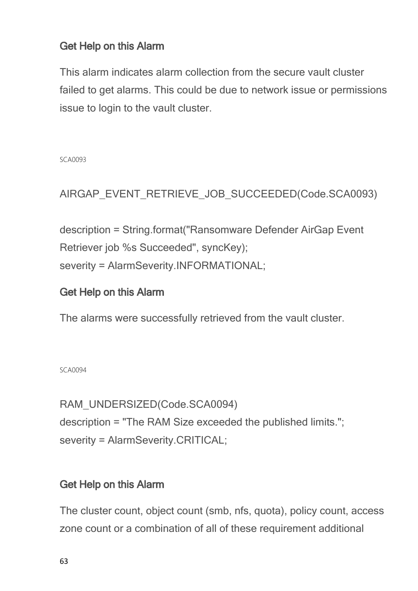## **Get Help on this Alarm**

This alarm indicates alarm collection from the secure vault cluster failed to get alarms. This could be due to network issue or permissions issue to login to the vault cluster.

SCA0093

AIRGAP\_EVENT\_RETRIEVE\_JOB\_SUCCEEDED(Code.SCA0093)

description = String.format("Ransomware Defender AirGap Event Retriever job %s Succeeded", syncKey); severity = AlarmSeverity.INFORMATIONAL;

## **Get Help on this Alarm**

The alarms were successfully retrieved from the vault cluster.

### SCA0094

RAM\_UNDERSIZED(Code.SCA0094) description = "The RAM Size exceeded the published limits."; severity = AlarmSeverity.CRITICAL;

## **Get Help on this Alarm**

The cluster count, object count (smb, nfs, quota), policy count, access zone count or a combination of all of these requirement additional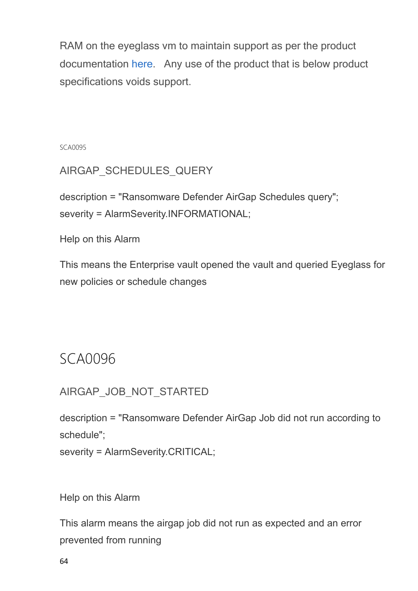RAM on the eyeglass vm to maintain support as per the product documentation [here.](http://docedit.supernaeyeglass.com/smart/project-eyeglass-administration-guides/eyeglass-ports-requirements-and-scalability-limits) Any use of the product that is below product specifications voids support.

SCA0095

AIRGAP\_SCHEDULES\_QUERY

description = "Ransomware Defender AirGap Schedules query"; severity = AlarmSeverity.INFORMATIONAL;

Help on this Alarm

This means the Enterprise vault opened the vault and queried Eyeglass for new policies or schedule changes

# SCA0096

AIRGAP\_JOB\_NOT\_STARTED

description = "Ransomware Defender AirGap Job did not run according to schedule";

severity = AlarmSeverity.CRITICAL;

Help on this Alarm

This alarm means the airgap job did not run as expected and an error prevented from running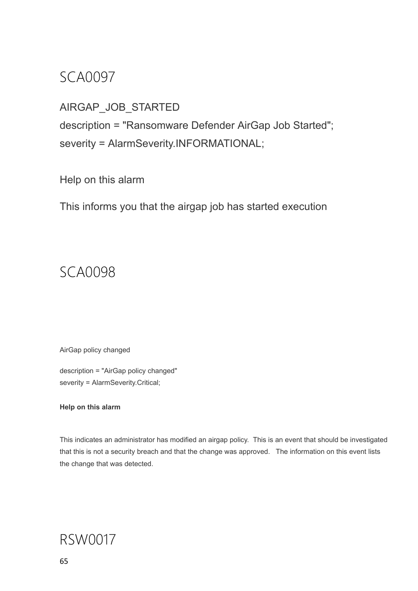# SCA0097

## AIRGAP\_JOB\_STARTED

description = "Ransomware Defender AirGap Job Started"; severity = AlarmSeverity.INFORMATIONAL;

Help on this alarm

This informs you that the airgap job has started execution

# SCA0098

AirGap policy changed

description = "AirGap policy changed" severity = AlarmSeverity.Critical;

### **Help on this alarm**

This indicates an administrator has modified an airgap policy. This is an event that should be investigated that this is not a security breach and that the change was approved. The information on this event lists the change that was detected.

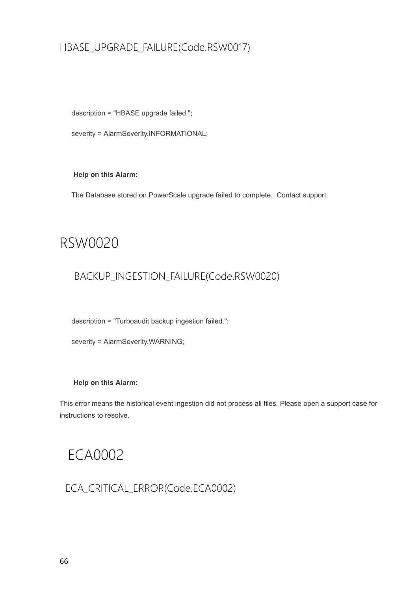## HBASE\_UPGRADE\_FAILURE(Code.RSW0017)

description = "HBASE upgrade failed.";

severity = AlarmSeverity.INFORMATIONAL;

**Help on this Alarm:**

The Database stored on PowerScale upgrade failed to complete. Contact support.

## RSW0020

## BACKUP\_INGESTION\_FAILURE(Code.RSW0020)

description = "Turboaudit backup ingestion failed.";

severity = AlarmSeverity.WARNING;

### **Help on this Alarm:**

This error means the historical event ingestion did not process all files. Please open a support case for instructions to resolve.

# ECA0002

ECA\_CRITICAL\_ERROR(Code.ECA0002)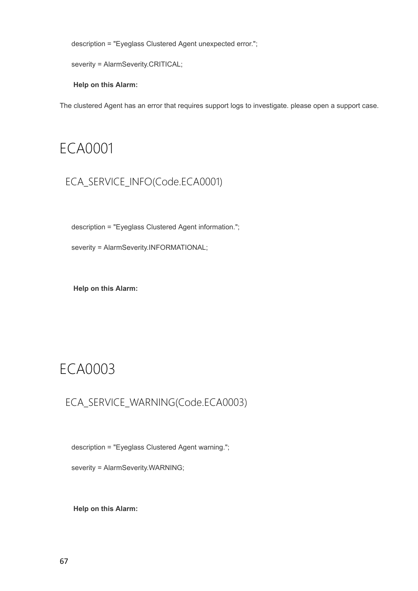description = "Eyeglass Clustered Agent unexpected error.";

```
severity = AlarmSeverity.CRITICAL;
```
**Help on this Alarm:**

The clustered Agent has an error that requires support logs to investigate. please open a support case.

## ECA0001

## ECA\_SERVICE\_INFO(Code.ECA0001)

description = "Eyeglass Clustered Agent information.";

severity = AlarmSeverity.INFORMATIONAL;

**Help on this Alarm:**

# ECA0003

## ECA\_SERVICE\_WARNING(Code.ECA0003)

description = "Eyeglass Clustered Agent warning.";

severity = AlarmSeverity.WARNING;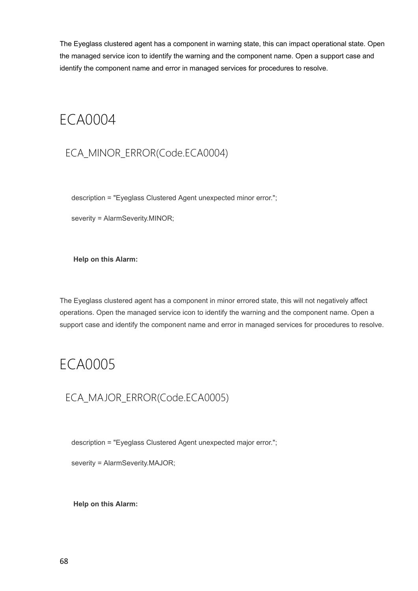The Eyeglass clustered agent has a component in warning state, this can impact operational state. Open the managed service icon to identify the warning and the component name. Open a support case and identify the component name and error in managed services for procedures to resolve.

# ECA0004

## ECA\_MINOR\_ERROR(Code.ECA0004)

description = "Eyeglass Clustered Agent unexpected minor error.";

severity = AlarmSeverity.MINOR;

**Help on this Alarm:**

The Eyeglass clustered agent has a component in minor errored state, this will not negatively affect operations. Open the managed service icon to identify the warning and the component name. Open a support case and identify the component name and error in managed services for procedures to resolve.

# ECA0005

## ECA\_MAJOR\_ERROR(Code.ECA0005)

description = "Eyeglass Clustered Agent unexpected major error.";

severity = AlarmSeverity.MAJOR;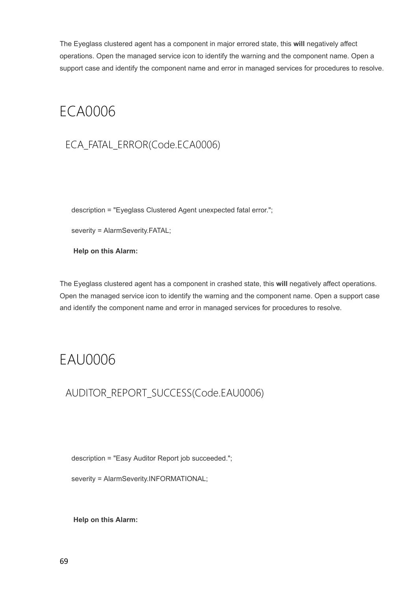The Eyeglass clustered agent has a component in major errored state, this **will** negatively affect operations. Open the managed service icon to identify the warning and the component name. Open a support case and identify the component name and error in managed services for procedures to resolve.

# ECA0006

## ECA\_FATAL\_ERROR(Code.ECA0006)

description = "Eyeglass Clustered Agent unexpected fatal error.";

severity = AlarmSeverity.FATAL;

**Help on this Alarm:**

The Eyeglass clustered agent has a component in crashed state, this **will** negatively affect operations. Open the managed service icon to identify the warning and the component name. Open a support case and identify the component name and error in managed services for procedures to resolve.

# EAU0006

AUDITOR\_REPORT\_SUCCESS(Code.EAU0006)

description = "Easy Auditor Report job succeeded.";

severity = AlarmSeverity.INFORMATIONAL;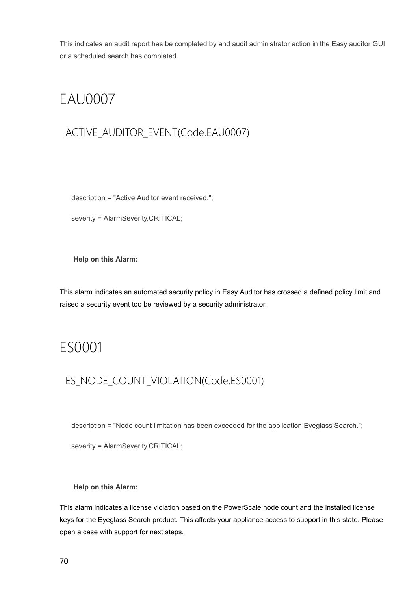This indicates an audit report has be completed by and audit administrator action in the Easy auditor GUI or a scheduled search has completed.

# EAU0007

## ACTIVE\_AUDITOR\_EVENT(Code.EAU0007)

description = "Active Auditor event received.";

severity = AlarmSeverity.CRITICAL;

**Help on this Alarm:**

This alarm indicates an automated security policy in Easy Auditor has crossed a defined policy limit and raised a security event too be reviewed by a security administrator.

## ES0001

## ES\_NODE\_COUNT\_VIOLATION(Code.ES0001)

description = "Node count limitation has been exceeded for the application Eyeglass Search.";

severity = AlarmSeverity.CRITICAL;

### **Help on this Alarm:**

This alarm indicates a license violation based on the PowerScale node count and the installed license keys for the Eyeglass Search product. This affects your appliance access to support in this state. Please open a case with support for next steps.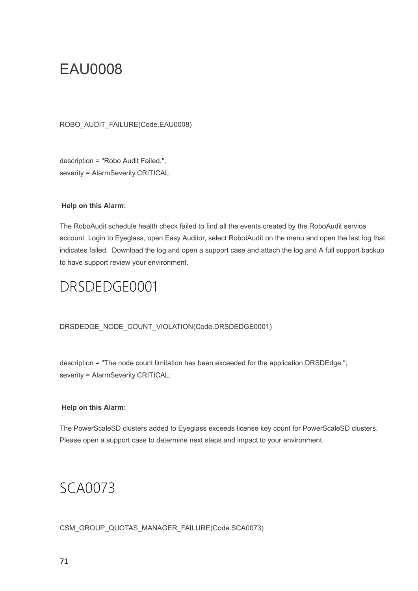# EAU0008

ROBO\_AUDIT\_FAILURE(Code.EAU0008)

description = "Robo Audit Failed."; severity = AlarmSeverity.CRITICAL;

### **Help on this Alarm:**

The RoboAudit schedule health check failed to find all the events created by the RoboAudit service account. Login to Eyeglass, open Easy Auditor, select RobotAudit on the menu and open the last log that indicates failed. Download the log and open a support case and attach the log and A full support backup to have support review your environment.

# DRSDEDGE0001

### DRSDEDGE\_NODE\_COUNT\_VIOLATION(Code.DRSDEDGE0001)

description = "The node count limitation has been exceeded for the application DRSDEdge."; severity = AlarmSeverity.CRITICAL;

### **Help on this Alarm:**

The PowerScaleSD clusters added to Eyeglass exceeds license key count for PowerScaleSD clusters. Please open a support case to determine next steps and impact to your environment.

# SCA0073

CSM\_GROUP\_QUOTAS\_MANAGER\_FAILURE(Code.SCA0073)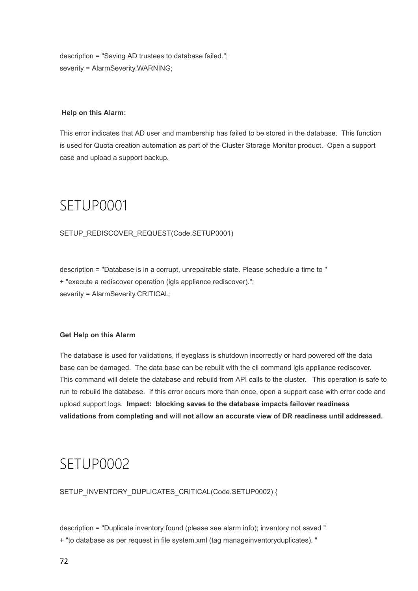description = "Saving AD trustees to database failed."; severity = AlarmSeverity.WARNING;

### **Help on this Alarm:**

This error indicates that AD user and mambership has failed to be stored in the database. This function is used for Quota creation automation as part of the Cluster Storage Monitor product. Open a support case and upload a support backup.

# SETUP0001

SETUP\_REDISCOVER\_REQUEST(Code.SETUP0001)

description = "Database is in a corrupt, unrepairable state. Please schedule a time to " + "execute a rediscover operation (igls appliance rediscover)."; severity = AlarmSeverity.CRITICAL;

### **Get Help on this Alarm**

The database is used for validations, if eyeglass is shutdown incorrectly or hard powered off the data base can be damaged. The data base can be rebuilt with the cli command igls appliance rediscover. This command will delete the database and rebuild from API calls to the cluster. This operation is safe to run to rebuild the database. If this error occurs more than once, open a support case with error code and upload support logs.  **Impact: blocking saves to the database impacts failover readiness validations from completing and will not allow an accurate view of DR readiness until addressed.**

## SETUP0002

SETUP\_INVENTORY\_DUPLICATES\_CRITICAL(Code.SETUP0002) {

description = "Duplicate inventory found (please see alarm info); inventory not saved " + "to database as per request in file system.xml (tag manageinventoryduplicates). "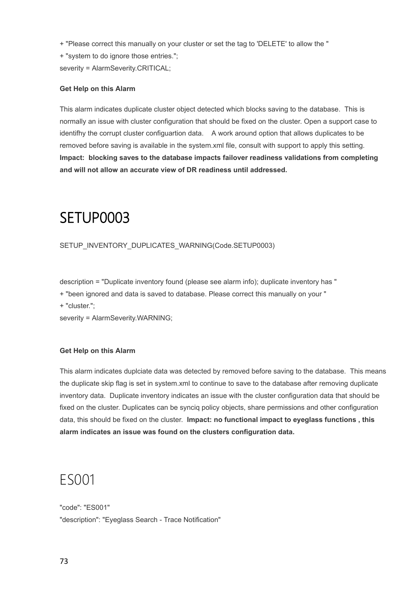+ "Please correct this manually on your cluster or set the tag to 'DELETE' to allow the "

+ "system to do ignore those entries.";

severity = AlarmSeverity.CRITICAL;

#### **Get Help on this Alarm**

This alarm indicates duplicate cluster object detected which blocks saving to the database. This is normally an issue with cluster configuration that should be fixed on the cluster. Open a support case to identifhy the corrupt cluster configuartion data. A work around option that allows duplicates to be removed before saving is available in the system.xml file, consult with support to apply this setting. **Impact: blocking saves to the database impacts failover readiness validations from completing and will not allow an accurate view of DR readiness until addressed.**

## **SETUP0003**

SETUP\_INVENTORY\_DUPLICATES\_WARNING(Code.SETUP0003)

description = "Duplicate inventory found (please see alarm info); duplicate inventory has "

+ "been ignored and data is saved to database. Please correct this manually on your "

+ "cluster.";

severity = AlarmSeverity.WARNING;

#### **Get Help on this Alarm**

This alarm indicates duplciate data was detected by removed before saving to the database. This means the duplicate skip flag is set in system.xml to continue to save to the database after removing duplicate inventory data. Duplicate inventory indicates an issue with the cluster configuration data that should be fixed on the cluster. Duplicates can be synciq policy objects, share permissions and other configuration data, this should be fixed on the cluster. **Impact: no functional impact to eyeglass functions , this alarm indicates an issue was found on the clusters configuration data.** 

### ES001

"code": "ES001" "description": "Eyeglass Search - Trace Notification"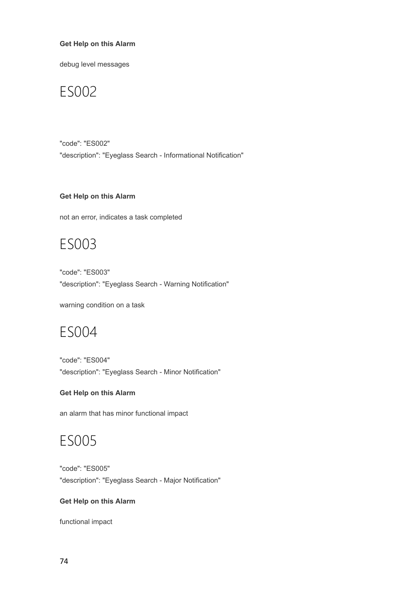#### **Get Help on this Alarm**

debug level messages

### ES002

"code": "ES002" "description": "Eyeglass Search - Informational Notification"

#### **Get Help on this Alarm**

not an error, indicates a task completed

### ES003

"code": "ES003" "description": "Eyeglass Search - Warning Notification"

warning condition on a task

### ES004

"code": "ES004" "description": "Eyeglass Search - Minor Notification"

#### **Get Help on this Alarm**

an alarm that has minor functional impact

### ES005

"code": "ES005" "description": "Eyeglass Search - Major Notification"

#### **Get Help on this Alarm**

functional impact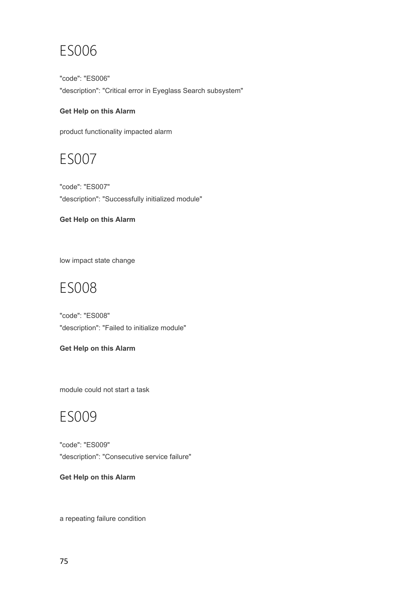## ES006

"code": "ES006" "description": "Critical error in Eyeglass Search subsystem"

#### **Get Help on this Alarm**

product functionality impacted alarm

### ES007

"code": "ES007" "description": "Successfully initialized module"

#### **Get Help on this Alarm**

low impact state change

## ES008

"code": "ES008" "description": "Failed to initialize module"

#### **Get Help on this Alarm**

module could not start a task

### ES009

"code": "ES009" "description": "Consecutive service failure"

#### **Get Help on this Alarm**

a repeating failure condition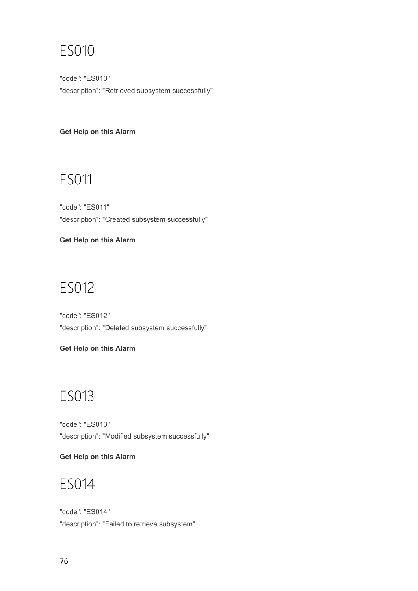## ES010

"code": "ES010" "description": "Retrieved subsystem successfully"

#### **Get Help on this Alarm**

## ES011

"code": "ES011" "description": "Created subsystem successfully"

**Get Help on this Alarm**

# ES012

"code": "ES012" "description": "Deleted subsystem successfully"

### **Get Help on this Alarm**

# ES013

"code": "ES013" "description": "Modified subsystem successfully"

**Get Help on this Alarm**

## ES014

"code": "ES014" "description": "Failed to retrieve subsystem"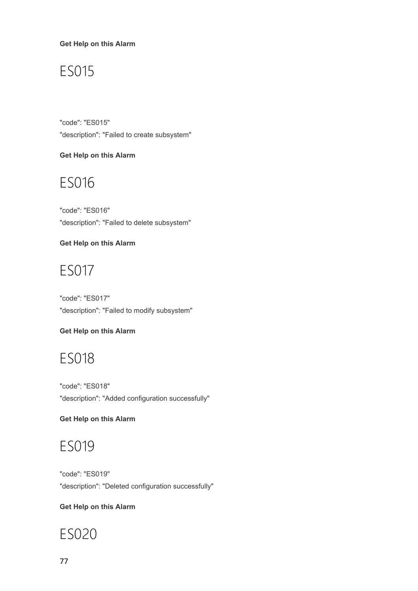**Get Help on this Alarm**

## ES015

"code": "ES015" "description": "Failed to create subsystem"

#### **Get Help on this Alarm**

### ES016

"code": "ES016" "description": "Failed to delete subsystem"

**Get Help on this Alarm**

## ES017

"code": "ES017" "description": "Failed to modify subsystem"

### **Get Help on this Alarm**

## ES018

"code": "ES018" "description": "Added configuration successfully"

### **Get Help on this Alarm**

## ES019

"code": "ES019" "description": "Deleted configuration successfully"

### **Get Help on this Alarm**

# ES020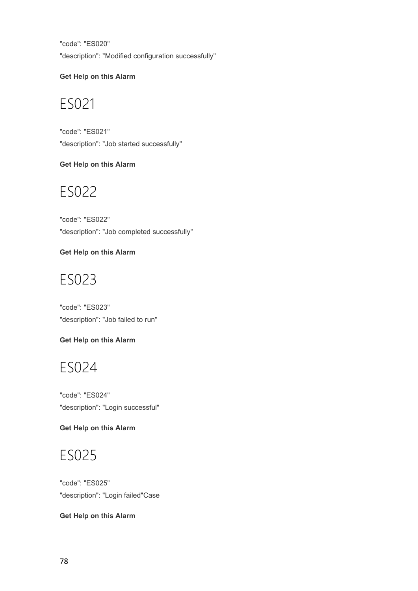"code": "ES020" "description": "Modified configuration successfully"

### **Get Help on this Alarm**

# ES021

"code": "ES021" "description": "Job started successfully"

### **Get Help on this Alarm**

## ES022

"code": "ES022" "description": "Job completed successfully"

### **Get Help on this Alarm**

# ES023

"code": "ES023" "description": "Job failed to run"

### **Get Help on this Alarm**

## ES024

"code": "ES024" "description": "Login successful"

### **Get Help on this Alarm**

## ES025

"code": "ES025" "description": "Login failed"Case

### **Get Help on this Alarm**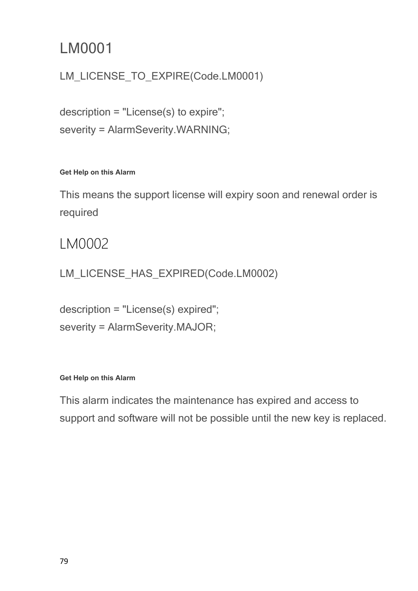## LM0001

### LM\_LICENSE\_TO\_EXPIRE(Code.LM0001)

description = "License(s) to expire"; severity = AlarmSeverity.WARNING;

### **Get Help on this Alarm**

This means the support license will expiry soon and renewal order is required

### LM0002

LM\_LICENSE\_HAS\_EXPIRED(Code.LM0002)

description = "License(s) expired"; severity = AlarmSeverity.MAJOR;

### **Get Help on this Alarm**

This alarm indicates the maintenance has expired and access to support and software will not be possible until the new key is replaced.